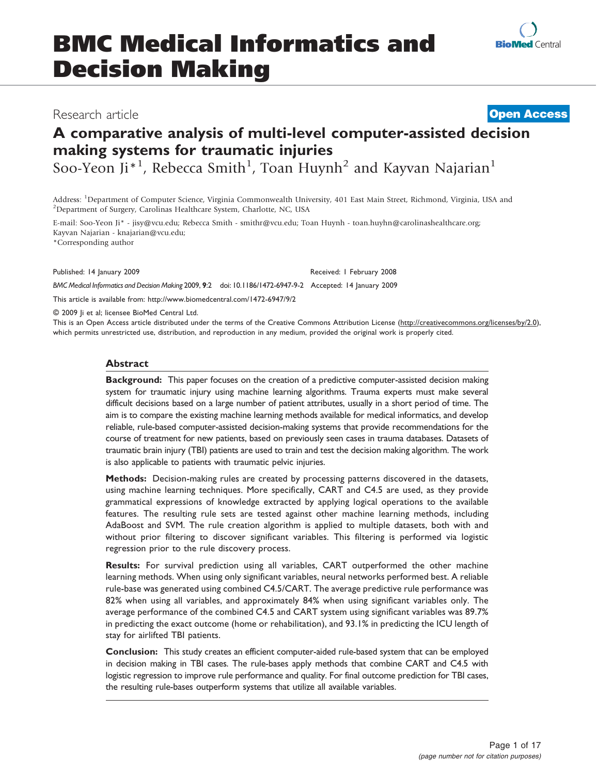# BMC Medical Informatics and Decision Making

### Research article

**[Open Access](http://www.biomedcentral.com/info/about/charter/)**

## A comparative analysis of multi-level computer-assisted decision making systems for traumatic injuries

Soo-Yeon Ji\*<sup>1</sup>, Rebecca Smith<sup>1</sup>, Toan Huynh<sup>2</sup> and Kayvan Najarian<sup>1</sup>

Address: <sup>1</sup>Department of Computer Science, Virginia Commonwealth University, 401 East Main Street, Richmond, Virginia, USA and<br><sup>2</sup>Department of Surgery, Carolinas Healthcare System, Charlotte, NC, USA <sup>2</sup>Department of Surgery, Carolinas Healthcare System, Charlotte, NC, USA

E-mail: Soo-Yeon Ji\* - jisy@vcu.edu; Rebecca Smith - smithr@vcu.edu; Toan Huynh - toan.huyhn@carolinashealthcare.org; Kayvan Najarian - knajarian@vcu.edu;

\*Corresponding author

Published: 14 January 2009 **Received: 11 February 2008** Received: 1 February 2008

BMC Medical Informatics and Decision Making 2009, 9:2 doi: 10.1186/1472-6947-9-2 Accepted: 14 January 2009 This article is available from: http://www.biomedcentral.com/1472-6947/9/2

© 2009 Ji et al; licensee BioMed Central Ltd.

This is an Open Access article distributed under the terms of the Creative Commons Attribution License [\(http://creativecommons.org/licenses/by/2.0\),](http://creativecommons.org/licenses/by/2.0) [which permits unrestricted use, distribution, and reproduction in any medium, provided the original work is properly cited.](http://creativecommons.org/licenses/by/2.0)

#### Abstract

Background: This paper focuses on the creation of a predictive computer-assisted decision making system for traumatic injury using machine learning algorithms. Trauma experts must make several difficult decisions based on a large number of patient attributes, usually in a short period of time. The aim is to compare the existing machine learning methods available for medical informatics, and develop reliable, rule-based computer-assisted decision-making systems that provide recommendations for the course of treatment for new patients, based on previously seen cases in trauma databases. Datasets of traumatic brain injury (TBI) patients are used to train and test the decision making algorithm. The work is also applicable to patients with traumatic pelvic injuries.

Methods: Decision-making rules are created by processing patterns discovered in the datasets, using machine learning techniques. More specifically, CART and C4.5 are used, as they provide grammatical expressions of knowledge extracted by applying logical operations to the available features. The resulting rule sets are tested against other machine learning methods, including AdaBoost and SVM. The rule creation algorithm is applied to multiple datasets, both with and without prior filtering to discover significant variables. This filtering is performed via logistic regression prior to the rule discovery process.

Results: For survival prediction using all variables, CART outperformed the other machine learning methods. When using only significant variables, neural networks performed best. A reliable rule-base was generated using combined C4.5/CART. The average predictive rule performance was 82% when using all variables, and approximately 84% when using significant variables only. The average performance of the combined C4.5 and CART system using significant variables was 89.7% in predicting the exact outcome (home or rehabilitation), and 93.1% in predicting the ICU length of stay for airlifted TBI patients.

Conclusion: This study creates an efficient computer-aided rule-based system that can be employed in decision making in TBI cases. The rule-bases apply methods that combine CART and C4.5 with logistic regression to improve rule performance and quality. For final outcome prediction for TBI cases, the resulting rule-bases outperform systems that utilize all available variables.

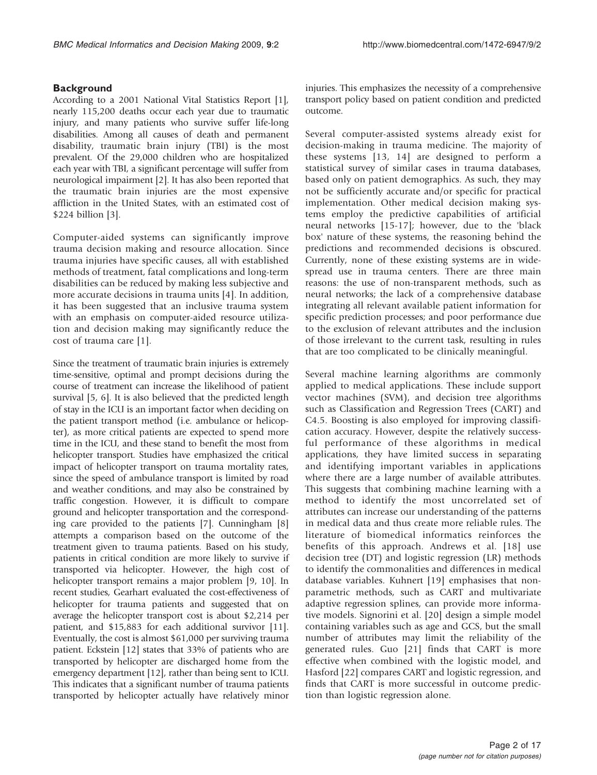#### **Background**

According to a 2001 National Vital Statistics Report [\[1](#page-15-0)], nearly 115,200 deaths occur each year due to traumatic injury, and many patients who survive suffer life-long disabilities. Among all causes of death and permanent disability, traumatic brain injury (TBI) is the most prevalent. Of the 29,000 children who are hospitalized each year with TBI, a significant percentage will suffer from neurological impairment [\[2](#page-15-0)]. It has also been reported that the traumatic brain injuries are the most expensive affliction in the United States, with an estimated cost of \$224 billion [\[3\]](#page-15-0).

Computer-aided systems can significantly improve trauma decision making and resource allocation. Since trauma injuries have specific causes, all with established methods of treatment, fatal complications and long-term disabilities can be reduced by making less subjective and more accurate decisions in trauma units [\[4\]](#page-15-0). In addition, it has been suggested that an inclusive trauma system with an emphasis on computer-aided resource utilization and decision making may significantly reduce the cost of trauma care [\[1\]](#page-15-0).

Since the treatment of traumatic brain injuries is extremely time-sensitive, optimal and prompt decisions during the course of treatment can increase the likelihood of patient survival [\[5](#page-15-0), [6](#page-15-0)]. It is also believed that the predicted length of stay in the ICU is an important factor when deciding on the patient transport method (i.e. ambulance or helicopter), as more critical patients are expected to spend more time in the ICU, and these stand to benefit the most from helicopter transport. Studies have emphasized the critical impact of helicopter transport on trauma mortality rates, since the speed of ambulance transport is limited by road and weather conditions, and may also be constrained by traffic congestion. However, it is difficult to compare ground and helicopter transportation and the corresponding care provided to the patients [[7\]](#page-15-0). Cunningham [[8\]](#page-15-0) attempts a comparison based on the outcome of the treatment given to trauma patients. Based on his study, patients in critical condition are more likely to survive if transported via helicopter. However, the high cost of helicopter transport remains a major problem [\[9](#page-15-0), [10](#page-15-0)]. In recent studies, Gearhart evaluated the cost-effectiveness of helicopter for trauma patients and suggested that on average the helicopter transport cost is about \$2,214 per patient, and \$15,883 for each additional survivor [\[11](#page-15-0)]. Eventually, the cost is almost \$61,000 per surviving trauma patient. Eckstein [[12](#page-15-0)] states that 33% of patients who are transported by helicopter are discharged home from the emergency department [[12](#page-15-0)], rather than being sent to ICU. This indicates that a significant number of trauma patients transported by helicopter actually have relatively minor injuries. This emphasizes the necessity of a comprehensive transport policy based on patient condition and predicted outcome.

Several computer-assisted systems already exist for decision-making in trauma medicine. The majority of these systems [[13, 14](#page-15-0)] are designed to perform a statistical survey of similar cases in trauma databases, based only on patient demographics. As such, they may not be sufficiently accurate and/or specific for practical implementation. Other medical decision making systems employ the predictive capabilities of artificial neural networks [[15-](#page-15-0)[17\]](#page-16-0); however, due to the 'black box' nature of these systems, the reasoning behind the predictions and recommended decisions is obscured. Currently, none of these existing systems are in widespread use in trauma centers. There are three main reasons: the use of non-transparent methods, such as neural networks; the lack of a comprehensive database integrating all relevant available patient information for specific prediction processes; and poor performance due to the exclusion of relevant attributes and the inclusion of those irrelevant to the current task, resulting in rules that are too complicated to be clinically meaningful.

Several machine learning algorithms are commonly applied to medical applications. These include support vector machines (SVM), and decision tree algorithms such as Classification and Regression Trees (CART) and C4.5. Boosting is also employed for improving classification accuracy. However, despite the relatively successful performance of these algorithms in medical applications, they have limited success in separating and identifying important variables in applications where there are a large number of available attributes. This suggests that combining machine learning with a method to identify the most uncorrelated set of attributes can increase our understanding of the patterns in medical data and thus create more reliable rules. The literature of biomedical informatics reinforces the benefits of this approach. Andrews et al. [[18](#page-16-0)] use decision tree (DT) and logistic regression (LR) methods to identify the commonalities and differences in medical database variables. Kuhnert [\[19](#page-16-0)] emphasises that nonparametric methods, such as CART and multivariate adaptive regression splines, can provide more informative models. Signorini et al. [[20\]](#page-16-0) design a simple model containing variables such as age and GCS, but the small number of attributes may limit the reliability of the generated rules. Guo [[21\]](#page-16-0) finds that CART is more effective when combined with the logistic model, and Hasford [\[22](#page-16-0)] compares CART and logistic regression, and finds that CART is more successful in outcome prediction than logistic regression alone.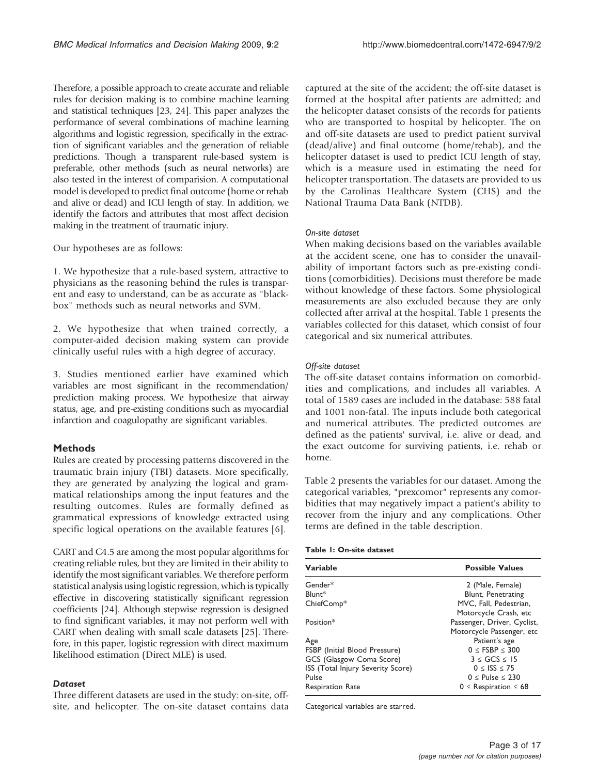Therefore, a possible approach to create accurate and reliable rules for decision making is to combine machine learning and statistical techniques [\[23, 24\]](#page-16-0). This paper analyzes the performance of several combinations of machine learning algorithms and logistic regression, specifically in the extraction of significant variables and the generation of reliable predictions. Though a transparent rule-based system is preferable, other methods (such as neural networks) are also tested in the interest of comparision. A computational model is developed to predict final outcome (home or rehab and alive or dead) and ICU length of stay. In addition, we identify the factors and attributes that most affect decision making in the treatment of traumatic injury.

Our hypotheses are as follows:

1. We hypothesize that a rule-based system, attractive to physicians as the reasoning behind the rules is transparent and easy to understand, can be as accurate as "blackbox" methods such as neural networks and SVM.

2. We hypothesize that when trained correctly, a computer-aided decision making system can provide clinically useful rules with a high degree of accuracy.

3. Studies mentioned earlier have examined which variables are most significant in the recommendation/ prediction making process. We hypothesize that airway status, age, and pre-existing conditions such as myocardial infarction and coagulopathy are significant variables.

#### Methods

Rules are created by processing patterns discovered in the traumatic brain injury (TBI) datasets. More specifically, they are generated by analyzing the logical and grammatical relationships among the input features and the resulting outcomes. Rules are formally defined as grammatical expressions of knowledge extracted using specific logical operations on the available features [[6](#page-15-0)].

CART and C4.5 are among the most popular algorithms for creating reliable rules, but they are limited in their ability to identify the most significant variables. We therefore perform statistical analysis using logistic regression, which is typically effective in discovering statistically significant regression coefficients [\[24\]](#page-16-0). Although stepwise regression is designed to find significant variables, it may not perform well with CART when dealing with small scale datasets [[25](#page-16-0)]. Therefore, in this paper, logistic regression with direct maximum likelihood estimation (Direct MLE) is used.

#### **Dataset**

Three different datasets are used in the study: on-site, offsite, and helicopter. The on-site dataset contains data captured at the site of the accident; the off-site dataset is formed at the hospital after patients are admitted; and the helicopter dataset consists of the records for patients who are transported to hospital by helicopter. The on and off-site datasets are used to predict patient survival (dead/alive) and final outcome (home/rehab), and the helicopter dataset is used to predict ICU length of stay, which is a measure used in estimating the need for helicopter transportation. The datasets are provided to us by the Carolinas Healthcare System (CHS) and the National Trauma Data Bank (NTDB).

#### On-site dataset

When making decisions based on the variables available at the accident scene, one has to consider the unavailability of important factors such as pre-existing conditions (comorbidities). Decisions must therefore be made without knowledge of these factors. Some physiological measurements are also excluded because they are only collected after arrival at the hospital. Table 1 presents the variables collected for this dataset, which consist of four categorical and six numerical attributes.

#### Off-site dataset

The off-site dataset contains information on comorbidities and complications, and includes all variables. A total of 1589 cases are included in the database: 588 fatal and 1001 non-fatal. The inputs include both categorical and numerical attributes. The predicted outcomes are defined as the patients' survival, i.e. alive or dead, and the exact outcome for surviving patients, i.e. rehab or home.

Table [2](#page-3-0) presents the variables for our dataset. Among the categorical variables, "prexcomor" represents any comorbidities that may negatively impact a patient's ability to recover from the injury and any complications. Other terms are defined in the table description.

#### Table 1: On-site dataset

| Variable                          | <b>Possible Values</b>         |
|-----------------------------------|--------------------------------|
| Gender*                           | 2 (Male, Female)               |
| $Blunt*$                          | Blunt, Penetrating             |
| ChiefComp*                        | MVC, Fall, Pedestrian,         |
|                                   | Motorcycle Crash, etc          |
| Position*                         | Passenger, Driver, Cyclist,    |
|                                   | Motorcycle Passenger, etc      |
| Age                               | Patient's age                  |
| FSBP (Initial Blood Pressure)     | $0 \leq$ FSBP $\leq$ 300       |
| GCS (Glasgow Coma Score)          | $3 \le GCS \le 15$             |
| ISS (Total Injury Severity Score) | $0 \leq$ ISS $\leq$ 75         |
| Pulse                             | $0 \leq$ Pulse $\leq$ 230      |
| <b>Respiration Rate</b>           | $0 \leq$ Respiration $\leq 68$ |

Categorical variables are starred.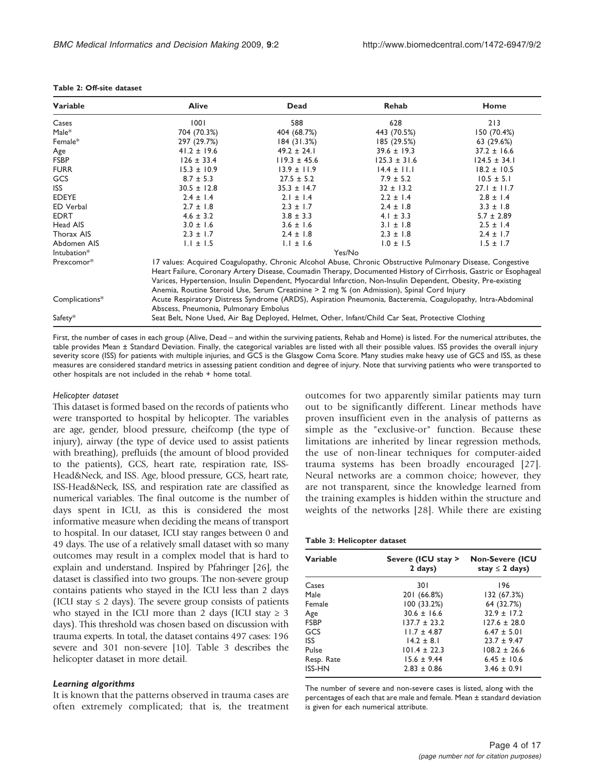| Variable       | <b>Alive</b>                                                                                                                                                                                                                                                                                                                                                                                                                                 | Dead                                                                                                                                                 | Rehab            | Home             |  |  |
|----------------|----------------------------------------------------------------------------------------------------------------------------------------------------------------------------------------------------------------------------------------------------------------------------------------------------------------------------------------------------------------------------------------------------------------------------------------------|------------------------------------------------------------------------------------------------------------------------------------------------------|------------------|------------------|--|--|
| Cases          | 1001                                                                                                                                                                                                                                                                                                                                                                                                                                         | 588                                                                                                                                                  | 628              | 213              |  |  |
| $Male^*$       | 704 (70.3%)                                                                                                                                                                                                                                                                                                                                                                                                                                  | 404 (68.7%)                                                                                                                                          | 443 (70.5%)      | 150 (70.4%)      |  |  |
| Female*        | 297 (29.7%)                                                                                                                                                                                                                                                                                                                                                                                                                                  | 184(31.3%)                                                                                                                                           | 185 (29.5%)      | 63 (29.6%)       |  |  |
| Age            | $41.2 \pm 19.6$                                                                                                                                                                                                                                                                                                                                                                                                                              | $49.2 \pm 24.1$                                                                                                                                      | $39.6 \pm 19.3$  | $37.2 \pm 16.6$  |  |  |
| <b>FSBP</b>    | $126 \pm 33.4$                                                                                                                                                                                                                                                                                                                                                                                                                               | $119.3 \pm 45.6$                                                                                                                                     | $125.3 \pm 31.6$ | $124.5 \pm 34.1$ |  |  |
| <b>FURR</b>    | $15.3 \pm 10.9$                                                                                                                                                                                                                                                                                                                                                                                                                              | $13.9 \pm 11.9$                                                                                                                                      | $14.4 \pm 11.1$  | $18.2 \pm 10.5$  |  |  |
| <b>GCS</b>     | $8.7 \pm 5.3$                                                                                                                                                                                                                                                                                                                                                                                                                                | $27.5 \pm 5.2$                                                                                                                                       | $7.9 \pm 5.2$    | $10.5 \pm 5.1$   |  |  |
| ISS            | $30.5 \pm 12.8$                                                                                                                                                                                                                                                                                                                                                                                                                              | $35.3 \pm 14.7$                                                                                                                                      | $32 \pm 13.2$    | $27.1 \pm 11.7$  |  |  |
| <b>EDEYE</b>   | $2.4 \pm 1.4$                                                                                                                                                                                                                                                                                                                                                                                                                                | $2.1 \pm 1.4$                                                                                                                                        | $2.2 \pm 1.4$    | $2.8 \pm 1.4$    |  |  |
| ED Verbal      | $2.7 \pm 1.8$                                                                                                                                                                                                                                                                                                                                                                                                                                | $2.3 \pm 1.7$                                                                                                                                        | $2.4 \pm 1.8$    | $3.3 \pm 1.8$    |  |  |
| <b>EDRT</b>    | $4.6 \pm 3.2$                                                                                                                                                                                                                                                                                                                                                                                                                                | $3.8 \pm 3.3$                                                                                                                                        | 4.1 $\pm$ 3.3    | $5.7 \pm 2.89$   |  |  |
| Head AIS       | $3.0 \pm 1.6$                                                                                                                                                                                                                                                                                                                                                                                                                                | $3.6 \pm 1.6$                                                                                                                                        | $3.1 \pm 1.8$    | $2.5 \pm 1.4$    |  |  |
| Thorax AIS     | $2.3 \pm 1.7$                                                                                                                                                                                                                                                                                                                                                                                                                                | $2.4 \pm 1.8$                                                                                                                                        | $2.3 \pm 1.8$    | $2.4 \pm 1.7$    |  |  |
| Abdomen AIS    | $1.1 \pm 1.5$                                                                                                                                                                                                                                                                                                                                                                                                                                | $1.1 \pm 1.6$                                                                                                                                        | $1.0 \pm 1.5$    | $1.5 \pm 1.7$    |  |  |
| Intubation*    |                                                                                                                                                                                                                                                                                                                                                                                                                                              |                                                                                                                                                      | Yes/No           |                  |  |  |
| Prexcomor*     | 17 values: Acquired Coagulopathy, Chronic Alcohol Abuse, Chronic Obstructive Pulmonary Disease, Congestive<br>Heart Failure, Coronary Artery Disease, Coumadin Therapy, Documented History of Cirrhosis, Gastric or Esophageal<br>Varices, Hypertension, Insulin Dependent, Myocardial Infarction, Non-Insulin Dependent, Obesity, Pre-existing<br>Anemia, Routine Steroid Use, Serum Creatinine > 2 mg % (on Admission), Spinal Cord Injury |                                                                                                                                                      |                  |                  |  |  |
| Complications* |                                                                                                                                                                                                                                                                                                                                                                                                                                              | Acute Respiratory Distress Syndrome (ARDS), Aspiration Pneumonia, Bacteremia, Coagulopathy, Intra-Abdominal<br>Abscess, Pneumonia, Pulmonary Embolus |                  |                  |  |  |
| Safety*        |                                                                                                                                                                                                                                                                                                                                                                                                                                              | Seat Belt, None Used, Air Bag Deployed, Helmet, Other, Infant/Child Car Seat, Protective Clothing                                                    |                  |                  |  |  |

#### <span id="page-3-0"></span>Table 2: Off-site dataset

First, the number of cases in each group (Alive, Dead – and within the surviving patients, Rehab and Home) is listed. For the numerical attributes, the table provides Mean ± Standard Deviation. Finally, the categorical variables are listed with all their possible values. ISS provides the overall injury severity score (ISS) for patients with multiple injuries, and GCS is the Glasgow Coma Score. Many studies make heavy use of GCS and ISS, as these measures are considered standard metrics in assessing patient condition and degree of injury. Note that surviving patients who were transported to other hospitals are not included in the rehab + home total.

#### Helicopter dataset

This dataset is formed based on the records of patients who were transported to hospital by helicopter. The variables are age, gender, blood pressure, cheifcomp (the type of injury), airway (the type of device used to assist patients with breathing), prefluids (the amount of blood provided to the patients), GCS, heart rate, respiration rate, ISS-Head&Neck, and ISS. Age, blood pressure, GCS, heart rate, ISS-Head&Neck, ISS, and respiration rate are classified as numerical variables. The final outcome is the number of days spent in ICU, as this is considered the most informative measure when deciding the means of transport to hospital. In our dataset, ICU stay ranges between 0 and 49 days. The use of a relatively small dataset with so many outcomes may result in a complex model that is hard to explain and understand. Inspired by Pfahringer [\[26](#page-16-0)], the dataset is classified into two groups. The non-severe group contains patients who stayed in the ICU less than 2 days (ICU stay  $\leq$  2 days). The severe group consists of patients who stayed in the ICU more than 2 days (ICU stay  $\geq$  3 days). This threshold was chosen based on discussion with trauma experts. In total, the dataset contains 497 cases: 196 severe and 301 non-severe [[10](#page-15-0)]. Table 3 describes the helicopter dataset in more detail.

#### Learning algorithms

It is known that the patterns observed in trauma cases are often extremely complicated; that is, the treatment outcomes for two apparently similar patients may turn out to be significantly different. Linear methods have proven insufficient even in the analysis of patterns as simple as the "exclusive-or" function. Because these limitations are inherited by linear regression methods, the use of non-linear techniques for computer-aided trauma systems has been broadly encouraged [\[27](#page-16-0)]. Neural networks are a common choice; however, they are not transparent, since the knowledge learned from the training examples is hidden within the structure and weights of the networks [[28\]](#page-16-0). While there are existing

| Table 3: Helicopter dataset |  |
|-----------------------------|--|
|-----------------------------|--|

| Variable      | Severe (ICU stay ><br>2 days) | <b>Non-Severe (ICU</b><br>stay $\leq 2$ days) |
|---------------|-------------------------------|-----------------------------------------------|
| Cases         | 30 I                          | 196                                           |
| Male          | 201 (66.8%)                   | 132 (67.3%)                                   |
| Female        | 100(33.2%)                    | 64 (32.7%)                                    |
| Age           | $30.6 \pm 16.6$               | $32.9 \pm 17.2$                               |
| <b>FSBP</b>   | $137.7 \pm 23.2$              | $127.6 + 28.0$                                |
| GCS           | $11.7 \pm 4.87$               | $6.47 \pm 5.01$                               |
| ISS           | $14.2 \pm 8.1$                | $23.7 \pm 9.47$                               |
| Pulse         | $101.4 \pm 22.3$              | $108.2 \pm 26.6$                              |
| Resp. Rate    | $15.6 \pm 9.44$               | $6.45 \pm 10.6$                               |
| <b>ISS-HN</b> | $2.83 \pm 0.86$               | $3.46 \pm 0.91$                               |

The number of severe and non-severe cases is listed, along with the percentages of each that are male and female. Mean ± standard deviation is given for each numerical attribute.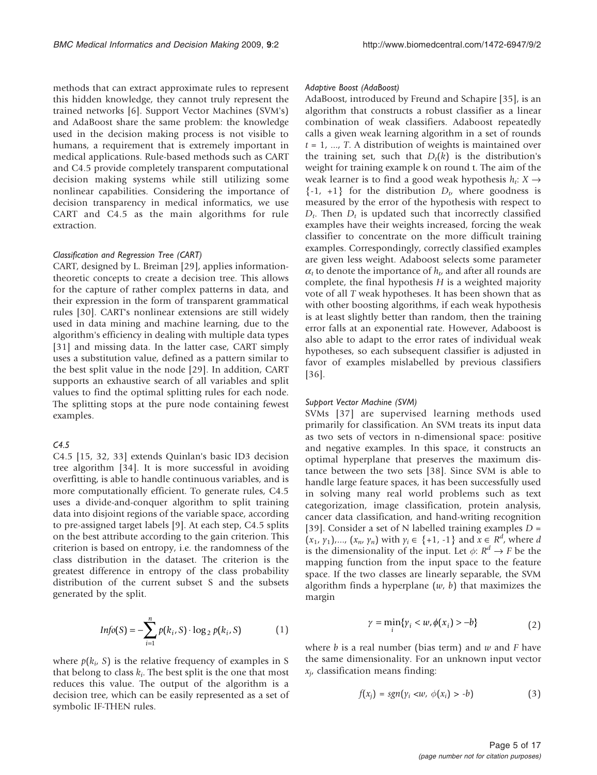methods that can extract approximate rules to represent this hidden knowledge, they cannot truly represent the trained networks [[6](#page-15-0)]. Support Vector Machines (SVM's) and AdaBoost share the same problem: the knowledge used in the decision making process is not visible to humans, a requirement that is extremely important in medical applications. Rule-based methods such as CART and C4.5 provide completely transparent computational decision making systems while still utilizing some nonlinear capabilities. Considering the importance of decision transparency in medical informatics, we use CART and C4.5 as the main algorithms for rule extraction.

#### Classification and Regression Tree (CART)

CART, designed by L. Breiman [\[29](#page-16-0)], applies informationtheoretic concepts to create a decision tree. This allows for the capture of rather complex patterns in data, and their expression in the form of transparent grammatical rules [[30\]](#page-16-0). CART's nonlinear extensions are still widely used in data mining and machine learning, due to the algorithm's efficiency in dealing with multiple data types [[31\]](#page-16-0) and missing data. In the latter case, CART simply uses a substitution value, defined as a pattern similar to the best split value in the node [\[29](#page-16-0)]. In addition, CART supports an exhaustive search of all variables and split values to find the optimal splitting rules for each node. The splitting stops at the pure node containing fewest examples.

#### C4.5

C4.5 [\[15](#page-15-0), [32](#page-16-0), [33\]](#page-16-0) extends Quinlan's basic ID3 decision tree algorithm [\[34](#page-16-0)]. It is more successful in avoiding overfitting, is able to handle continuous variables, and is more computationally efficient. To generate rules, C4.5 uses a divide-and-conquer algorithm to split training data into disjoint regions of the variable space, according to pre-assigned target labels [[9](#page-15-0)]. At each step, C4.5 splits on the best attribute according to the gain criterion. This criterion is based on entropy, i.e. the randomness of the class distribution in the dataset. The criterion is the greatest difference in entropy of the class probability distribution of the current subset S and the subsets generated by the split.

$$
Info(S) = -\sum_{i=1}^{n} p(k_i, S) \cdot \log_2 p(k_i, S)
$$
 (1)

where  $p(k_i, S)$  is the relative frequency of examples in S that belong to class  $k_i$ . The best split is the one that most reduces this value. The output of the algorithm is a decision tree, which can be easily represented as a set of symbolic IF-THEN rules.

#### Adaptive Boost (AdaBoost)

AdaBoost, introduced by Freund and Schapire [[35\]](#page-16-0), is an algorithm that constructs a robust classifier as a linear combination of weak classifiers. Adaboost repeatedly calls a given weak learning algorithm in a set of rounds  $t = 1, \ldots, T$ . A distribution of weights is maintained over the training set, such that  $D_t(k)$  is the distribution's weight for training example k on round t. The aim of the weak learner is to find a good weak hypothesis  $h_t: X \rightarrow$  $\{-1, +1\}$  for the distribution  $D_t$ , where goodness is measured by the error of the hypothesis with respect to  $D_t$ . Then  $D_t$  is updated such that incorrectly classified examples have their weights increased, forcing the weak classifier to concentrate on the more difficult training examples. Correspondingly, correctly classified examples are given less weight. Adaboost selects some parameter  $\alpha_t$  to denote the importance of  $h_t$ , and after all rounds are complete, the final hypothesis  $H$  is a weighted majority vote of all T weak hypotheses. It has been shown that as with other boosting algorithms, if each weak hypothesis is at least slightly better than random, then the training error falls at an exponential rate. However, Adaboost is also able to adapt to the error rates of individual weak hypotheses, so each subsequent classifier is adjusted in favor of examples mislabelled by previous classifiers [[36](#page-16-0)].

#### Support Vector Machine (SVM)

SVMs [[37](#page-16-0)] are supervised learning methods used primarily for classification. An SVM treats its input data as two sets of vectors in n-dimensional space: positive and negative examples. In this space, it constructs an optimal hyperplane that preserves the maximum distance between the two sets [38]. Since SVM is able to handle large feature spaces, it has been successfully used in solving many real world problems such as text categorization, image classification, protein analysis, cancer data classification, and hand-writing recognition [[39](#page-16-0)]. Consider a set of N labelled training examples  $D =$  $(x_1, y_1)$ ,...,  $(x_n, y_n)$  with  $y_i \in \{+1, -1\}$  and  $x \in R^d$ , where a is the dimensionality of the input. Let  $\phi: R^d \to F$  be the mapping function from the input space to the feature space. If the two classes are linearly separable, the SVM algorithm finds a hyperplane  $(w, b)$  that maximizes the margin

$$
\gamma = \min_{i} \{ \gamma_i < w, \phi(x_i) > -b \} \tag{2}
$$

where b is a real number (bias term) and  $w$  and  $F$  have the same dimensionality. For an unknown input vector  $x_i$ , classification means finding:

$$
f(x_j) = sgn(y_i < w, \ \phi(x_i) > -b) \tag{3}
$$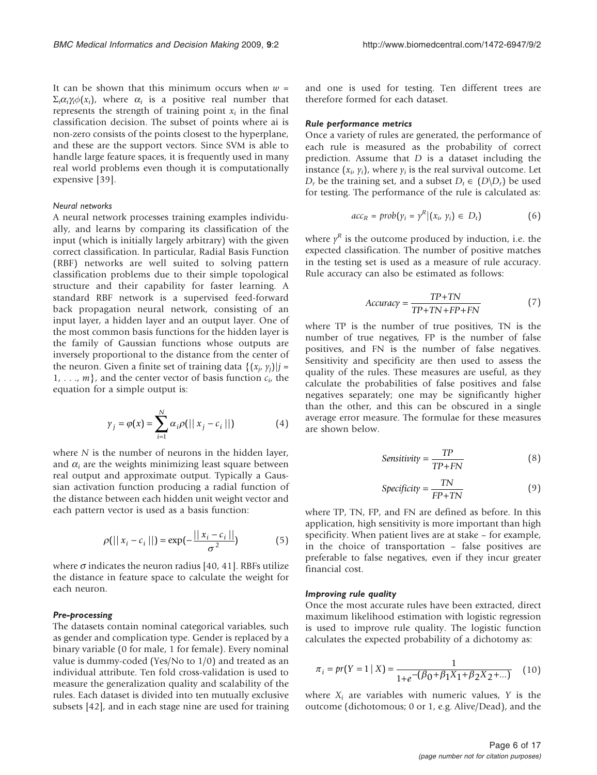It can be shown that this minimum occurs when  $w =$  $\Sigma_i \alpha_i \gamma_i \phi(x_i)$ , where  $\alpha_i$  is a positive real number that represents the strength of training point  $x_i$  in the final classification decision. The subset of points where ai is non-zero consists of the points closest to the hyperplane, and these are the support vectors. Since SVM is able to handle large feature spaces, it is frequently used in many real world problems even though it is computationally expensive [[39\]](#page-16-0).

#### Neural networks

A neural network processes training examples individually, and learns by comparing its classification of the input (which is initially largely arbitrary) with the given correct classification. In particular, Radial Basis Function (RBF) networks are well suited to solving pattern classification problems due to their simple topological structure and their capability for faster learning. A standard RBF network is a supervised feed-forward back propagation neural network, consisting of an input layer, a hidden layer and an output layer. One of the most common basis functions for the hidden layer is the family of Gaussian functions whose outputs are inversely proportional to the distance from the center of the neuron. Given a finite set of training data  $\{(x_i, y_i)|i =$ 1, . . .,  $m$ }, and the center vector of basis function  $c_i$ , the equation for a simple output is:

$$
\gamma_j = \varphi(x) = \sum_{i=1}^{N} \alpha_i \rho(||x_j - c_i||)
$$
 (4)

where N is the number of neurons in the hidden layer, and  $\alpha_i$  are the weights minimizing least square between real output and approximate output. Typically a Gaussian activation function producing a radial function of the distance between each hidden unit weight vector and each pattern vector is used as a basis function:

$$
\rho(||x_i - c_i||) = \exp(-\frac{||x_i - c_i||}{\sigma^2})
$$
\n(5)

where  $\sigma$  indicates the neuron radius [[40, 41\]](#page-16-0). RBFs utilize the distance in feature space to calculate the weight for each neuron.

#### Pre-processing

The datasets contain nominal categorical variables, such as gender and complication type. Gender is replaced by a binary variable (0 for male, 1 for female). Every nominal value is dummy-coded (Yes/No to 1/0) and treated as an individual attribute. Ten fold cross-validation is used to measure the generalization quality and scalability of the rules. Each dataset is divided into ten mutually exclusive subsets [[42\]](#page-16-0), and in each stage nine are used for training and one is used for testing. Ten different trees are therefore formed for each dataset.

#### Rule performance metrics

Once a variety of rules are generated, the performance of each rule is measured as the probability of correct prediction. Assume that  $D$  is a dataset including the instance  $(x_i, y_i)$ , where  $y_i$  is the real survival outcome. Let  $D_r$  be the training set, and a subset  $D_t \in (D \backslash D_r)$  be used for testing. The performance of the rule is calculated as:

$$
acc_R = prob(y_i = y^R | (x_i, y_i) \in D_t)
$$
 (6)

where  $\gamma^R$  is the outcome produced by induction, i.e. the expected classification. The number of positive matches in the testing set is used as a measure of rule accuracy. Rule accuracy can also be estimated as follows:

$$
Accuracy = \frac{TP + TN}{TP + TN + FP + FN}
$$
 (7)

where TP is the number of true positives, TN is the number of true negatives, FP is the number of false positives, and FN is the number of false negatives. Sensitivity and specificity are then used to assess the quality of the rules. These measures are useful, as they calculate the probabilities of false positives and false negatives separately; one may be significantly higher than the other, and this can be obscured in a single average error measure. The formulae for these measures are shown below.

$$
Sensitivity = \frac{TP}{TP + FN}
$$
 (8)

$$
Specificity = \frac{TN}{FP + TN}
$$
 (9)

where TP, TN, FP, and FN are defined as before. In this application, high sensitivity is more important than high specificity. When patient lives are at stake – for example, in the choice of transportation – false positives are preferable to false negatives, even if they incur greater financial cost.

#### Improving rule quality

Once the most accurate rules have been extracted, direct maximum likelihood estimation with logistic regression is used to improve rule quality. The logistic function calculates the expected probability of a dichotomy as:

$$
\pi_i = pr(Y = 1 | X) = \frac{1}{1 + e^{-\left(\beta_0 + \beta_1 X_1 + \beta_2 X_2 + \dots\right)}} \tag{10}
$$

where  $X_i$  are variables with numeric values, Y is the outcome (dichotomous; 0 or 1, e.g. Alive/Dead), and the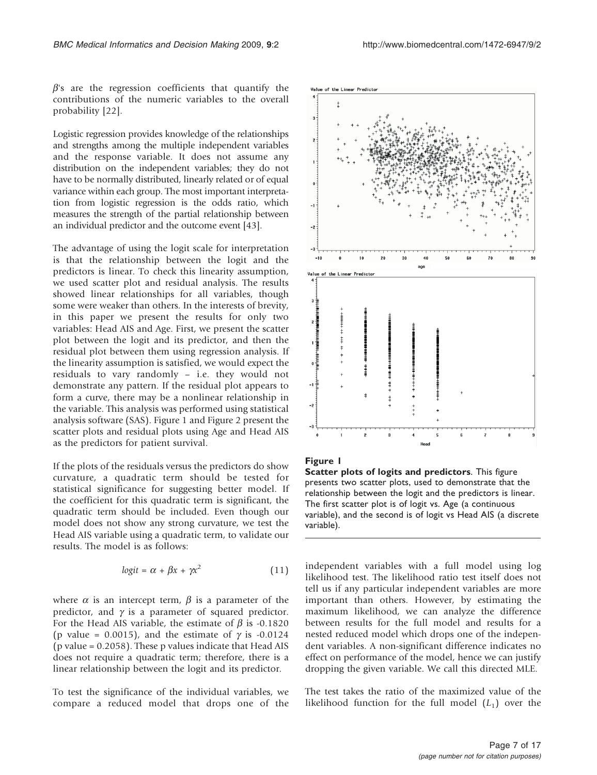$\beta$ 's are the regression coefficients that quantify the contributions of the numeric variables to the overall probability [\[22](#page-16-0)].

Logistic regression provides knowledge of the relationships and strengths among the multiple independent variables and the response variable. It does not assume any distribution on the independent variables; they do not have to be normally distributed, linearly related or of equal variance within each group. The most important interpretation from logistic regression is the odds ratio, which measures the strength of the partial relationship between an individual predictor and the outcome event [[43](#page-16-0)].

The advantage of using the logit scale for interpretation is that the relationship between the logit and the predictors is linear. To check this linearity assumption, we used scatter plot and residual analysis. The results showed linear relationships for all variables, though some were weaker than others. In the interests of brevity, in this paper we present the results for only two variables: Head AIS and Age. First, we present the scatter plot between the logit and its predictor, and then the residual plot between them using regression analysis. If the linearity assumption is satisfied, we would expect the residuals to vary randomly – i.e. they would not demonstrate any pattern. If the residual plot appears to form a curve, there may be a nonlinear relationship in the variable. This analysis was performed using statistical analysis software (SAS). Figure 1 and Figure [2](#page-7-0) present the scatter plots and residual plots using Age and Head AIS as the predictors for patient survival.

If the plots of the residuals versus the predictors do show curvature, a quadratic term should be tested for statistical significance for suggesting better model. If the coefficient for this quadratic term is significant, the quadratic term should be included. Even though our model does not show any strong curvature, we test the Head AIS variable using a quadratic term, to validate our results. The model is as follows:

$$
logit = \alpha + \beta x + \gamma x^2 \tag{11}
$$

where  $\alpha$  is an intercept term,  $\beta$  is a parameter of the predictor, and  $\gamma$  is a parameter of squared predictor. For the Head AIS variable, the estimate of  $\beta$  is -0.1820 (p value = 0.0015), and the estimate of  $\gamma$  is -0.0124 (p value = 0.2058). These p values indicate that Head AIS does not require a quadratic term; therefore, there is a linear relationship between the logit and its predictor.

To test the significance of the individual variables, we compare a reduced model that drops one of the



#### Figure 1

Scatter plots of logits and predictors. This figure presents two scatter plots, used to demonstrate that the relationship between the logit and the predictors is linear. The first scatter plot is of logit vs. Age (a continuous variable), and the second is of logit vs Head AIS (a discrete variable).

independent variables with a full model using log likelihood test. The likelihood ratio test itself does not tell us if any particular independent variables are more important than others. However, by estimating the maximum likelihood, we can analyze the difference between results for the full model and results for a nested reduced model which drops one of the independent variables. A non-significant difference indicates no effect on performance of the model, hence we can justify dropping the given variable. We call this directed MLE.

The test takes the ratio of the maximized value of the likelihood function for the full model  $(L_1)$  over the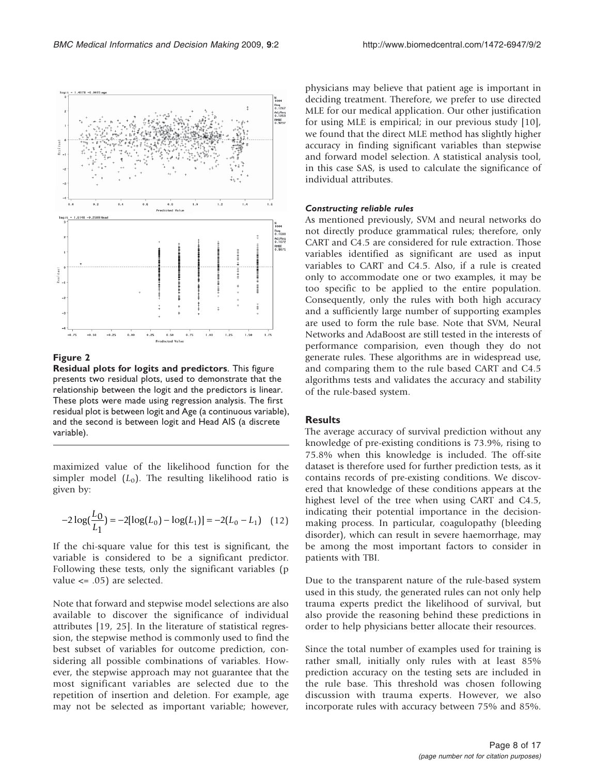<span id="page-7-0"></span>

#### Figure 2

Residual plots for logits and predictors. This figure presents two residual plots, used to demonstrate that the relationship between the logit and the predictors is linear. These plots were made using regression analysis. The first residual plot is between logit and Age (a continuous variable), and the second is between logit and Head AIS (a discrete variable).

maximized value of the likelihood function for the simpler model  $(L_0)$ . The resulting likelihood ratio is given by:

$$
-2\log(\frac{L_0}{L_1}) = -2[\log(L_0) - \log(L_1)] = -2(L_0 - L_1) \quad (12)
$$

If the chi-square value for this test is significant, the variable is considered to be a significant predictor. Following these tests, only the significant variables (p value <= .05) are selected.

Note that forward and stepwise model selections are also available to discover the significance of individual attributes [[19, 25\]](#page-16-0). In the literature of statistical regression, the stepwise method is commonly used to find the best subset of variables for outcome prediction, considering all possible combinations of variables. However, the stepwise approach may not guarantee that the most significant variables are selected due to the repetition of insertion and deletion. For example, age may not be selected as important variable; however,

physicians may believe that patient age is important in deciding treatment. Therefore, we prefer to use directed MLE for our medical application. Our other justification for using MLE is empirical; in our previous study [\[10](#page-15-0)], we found that the direct MLE method has slightly higher accuracy in finding significant variables than stepwise and forward model selection. A statistical analysis tool, in this case SAS, is used to calculate the significance of individual attributes.

#### Constructing reliable rules

As mentioned previously, SVM and neural networks do not directly produce grammatical rules; therefore, only CART and C4.5 are considered for rule extraction. Those variables identified as significant are used as input variables to CART and C4.5. Also, if a rule is created only to accommodate one or two examples, it may be too specific to be applied to the entire population. Consequently, only the rules with both high accuracy and a sufficiently large number of supporting examples are used to form the rule base. Note that SVM, Neural Networks and AdaBoost are still tested in the interests of performance comparision, even though they do not generate rules. These algorithms are in widespread use, and comparing them to the rule based CART and C4.5 algorithms tests and validates the accuracy and stability of the rule-based system.

#### **Results**

The average accuracy of survival prediction without any knowledge of pre-existing conditions is 73.9%, rising to 75.8% when this knowledge is included. The off-site dataset is therefore used for further prediction tests, as it contains records of pre-existing conditions. We discovered that knowledge of these conditions appears at the highest level of the tree when using CART and C4.5, indicating their potential importance in the decisionmaking process. In particular, coagulopathy (bleeding disorder), which can result in severe haemorrhage, may be among the most important factors to consider in patients with TBI.

Due to the transparent nature of the rule-based system used in this study, the generated rules can not only help trauma experts predict the likelihood of survival, but also provide the reasoning behind these predictions in order to help physicians better allocate their resources.

Since the total number of examples used for training is rather small, initially only rules with at least 85% prediction accuracy on the testing sets are included in the rule base. This threshold was chosen following discussion with trauma experts. However, we also incorporate rules with accuracy between 75% and 85%.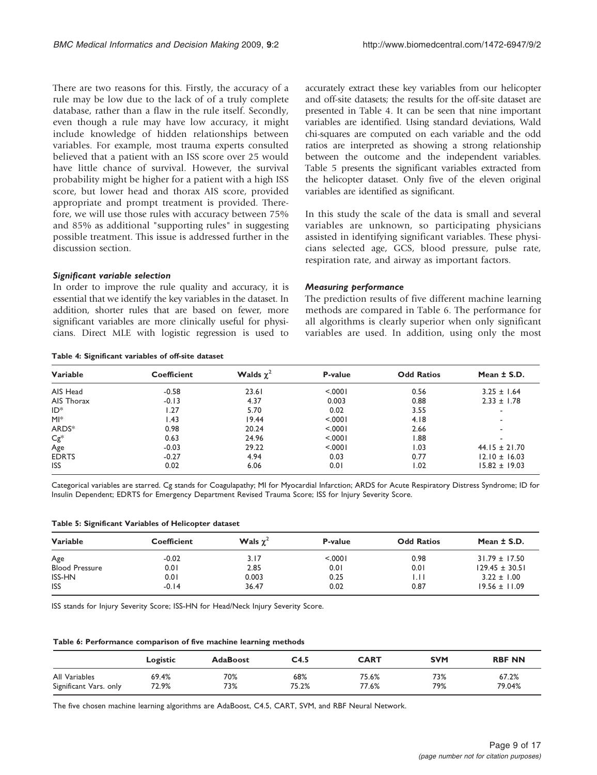There are two reasons for this. Firstly, the accuracy of a rule may be low due to the lack of of a truly complete database, rather than a flaw in the rule itself. Secondly, even though a rule may have low accuracy, it might include knowledge of hidden relationships between variables. For example, most trauma experts consulted believed that a patient with an ISS score over 25 would have little chance of survival. However, the survival probability might be higher for a patient with a high ISS score, but lower head and thorax AIS score, provided appropriate and prompt treatment is provided. Therefore, we will use those rules with accuracy between 75% and 85% as additional "supporting rules" in suggesting possible treatment. This issue is addressed further in the discussion section.

#### Significant variable selection

In order to improve the rule quality and accuracy, it is essential that we identify the key variables in the dataset. In addition, shorter rules that are based on fewer, more significant variables are more clinically useful for physicians. Direct MLE with logistic regression is used to

|  | Table 4: Significant variables of off-site dataset |  |  |  |  |
|--|----------------------------------------------------|--|--|--|--|
|--|----------------------------------------------------|--|--|--|--|

accurately extract these key variables from our helicopter and off-site datasets; the results for the off-site dataset are presented in Table 4. It can be seen that nine important variables are identified. Using standard deviations, Wald chi-squares are computed on each variable and the odd ratios are interpreted as showing a strong relationship between the outcome and the independent variables. Table 5 presents the significant variables extracted from the helicopter dataset. Only five of the eleven original variables are identified as significant.

In this study the scale of the data is small and several variables are unknown, so participating physicians assisted in identifying significant variables. These physicians selected age, GCS, blood pressure, pulse rate, respiration rate, and airway as important factors.

#### Measuring performance

The prediction results of five different machine learning methods are compared in Table 6. The performance for all algorithms is clearly superior when only significant variables are used. In addition, using only the most

| Variable     | <b>Coefficient</b> | Walds $\chi^2$ | P-value | <b>Odd Ratios</b> | Mean $±$ S.D.     |
|--------------|--------------------|----------------|---------|-------------------|-------------------|
| AIS Head     | $-0.58$            | 23.61          | < 0001  | 0.56              | $3.25 \pm 1.64$   |
| AIS Thorax   | $-0.13$            | 4.37           | 0.003   | 0.88              | $2.33 \pm 1.78$   |
| ID*          | 1.27               | 5.70           | 0.02    | 3.55              |                   |
| $M^*$        | 1.43               | 19.44          | < 0001  | 4.18              |                   |
| ARDS*        | 0.98               | 20.24          | < .0001 | 2.66              |                   |
| $Cg^*$       | 0.63               | 24.96          | < 0001  | 1.88              |                   |
| Age          | $-0.03$            | 29.22          | < 0001  | 1.03              | $44.15 \pm 21.70$ |
| <b>EDRTS</b> | $-0.27$            | 4.94           | 0.03    | 0.77              | $12.10 \pm 16.03$ |
| <b>ISS</b>   | 0.02               | 6.06           | 0.01    | 1.02              | $15.82 \pm 19.03$ |

Categorical variables are starred. Cg stands for Coagulapathy; MI for Myocardial Infarction; ARDS for Acute Respiratory Distress Syndrome; ID for Insulin Dependent; EDRTS for Emergency Department Revised Trauma Score; ISS for Injury Severity Score.

| Table 5: Significant Variables of Helicopter dataset |  |  |  |
|------------------------------------------------------|--|--|--|
|------------------------------------------------------|--|--|--|

| Variable              | Coefficient | Wals $\chi^2$ | P-value | <b>Odd Ratios</b> | Mean $±$ S.D.      |
|-----------------------|-------------|---------------|---------|-------------------|--------------------|
| Age                   | $-0.02$     | 3.17          | < 0001  | 0.98              | $31.79 \pm 17.50$  |
| <b>Blood Pressure</b> | 0.01        | 2.85          | 0.01    | 0.01              | $129.45 \pm 30.51$ |
| <b>ISS-HN</b>         | 0.01        | 0.003         | 0.25    | I.II              | $3.22 \pm 1.00$    |
| <b>ISS</b>            | $-0.14$     | 36.47         | 0.02    | 0.87              | $19.56 \pm 11.09$  |

ISS stands for Injury Severity Score; ISS-HN for Head/Neck Injury Severity Score.

Table 6: Performance comparison of five machine learning methods

|                        | Logistic | <b>AdaBoost</b> | C4.5  | <b>CART</b> | <b>SVM</b> | <b>RBF NN</b> |
|------------------------|----------|-----------------|-------|-------------|------------|---------------|
| All Variables          | 69.4%    | 70%             | 68%   | 75.6%       | 73%        | 67.2%         |
| Significant Vars. only | 72.9%    | 73%             | 75.2% | 77.6%       | 79%        | 79.04%        |

The five chosen machine learning algorithms are AdaBoost, C4.5, CART, SVM, and RBF Neural Network.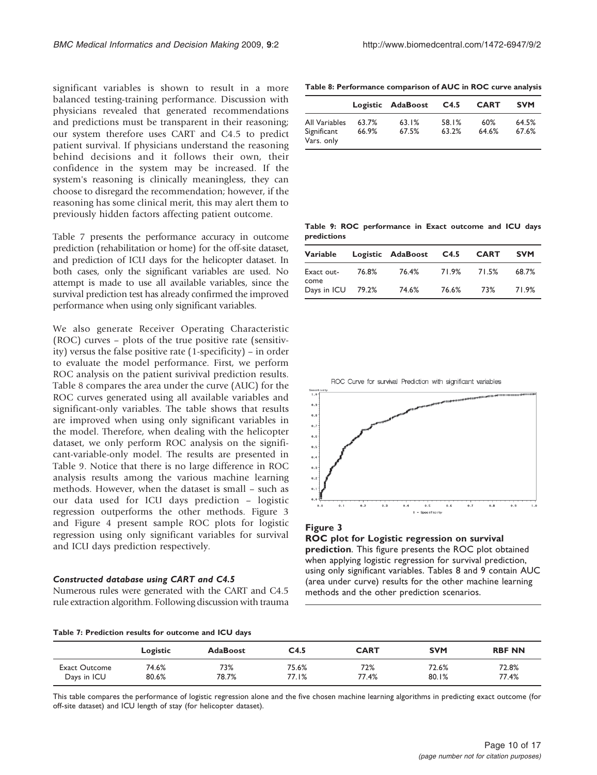significant variables is shown to result in a more balanced testing-training performance. Discussion with physicians revealed that generated recommendations and predictions must be transparent in their reasoning; our system therefore uses CART and C4.5 to predict patient survival. If physicians understand the reasoning behind decisions and it follows their own, their confidence in the system may be increased. If the system's reasoning is clinically meaningless, they can choose to disregard the recommendation; however, if the reasoning has some clinical merit, this may alert them to previously hidden factors affecting patient outcome.

Table 7 presents the performance accuracy in outcome prediction (rehabilitation or home) for the off-site dataset, and prediction of ICU days for the helicopter dataset. In both cases, only the significant variables are used. No attempt is made to use all available variables, since the survival prediction test has already confirmed the improved performance when using only significant variables.

We also generate Receiver Operating Characteristic (ROC) curves – plots of the true positive rate (sensitivity) versus the false positive rate (1-specificity) – in order to evaluate the model performance. First, we perform ROC analysis on the patient surivival prediction results. Table 8 compares the area under the curve (AUC) for the ROC curves generated using all available variables and significant-only variables. The table shows that results are improved when using only significant variables in the model. Therefore, when dealing with the helicopter dataset, we only perform ROC analysis on the significant-variable-only model. The results are presented in Table 9. Notice that there is no large difference in ROC analysis results among the various machine learning methods. However, when the dataset is small – such as our data used for ICU days prediction – logistic regression outperforms the other methods. Figure 3 and Figure [4](#page-10-0) present sample ROC plots for logistic regression using only significant variables for survival and ICU days prediction respectively.

#### Constructed database using CART and C4.5

Numerous rules were generated with the CART and C4.5 rule extraction algorithm. Following discussion with trauma

Table 7: Prediction results for outcome and ICU days

|                      | Logistic | <b>AdaBoost</b> | C4.5  | <b>CART</b> | <b>SVM</b> | <b>RBF NN</b> |
|----------------------|----------|-----------------|-------|-------------|------------|---------------|
| <b>Exact Outcome</b> | 74.6%    | 73%             | 75.6% | 72%         | 72.6%      | 72.8%         |
| Days in ICU          | 80.6%    | 78.7%           | 77.1% | 77.4%       | 80.1%      | 77.4%         |

This table compares the performance of logistic regression alone and the five chosen machine learning algorithms in predicting exact outcome (for off-site dataset) and ICU length of stay (for helicopter dataset).

Table 8: Performance comparison of AUC in ROC curve analysis

|                                            |                | Logistic AdaBoost | C4.5           | <b>CART</b>  | <b>SVM</b>     |
|--------------------------------------------|----------------|-------------------|----------------|--------------|----------------|
| All Variables<br>Significant<br>Vars. only | 63.7%<br>66.9% | 63.1%<br>67.5%    | 58.1%<br>63.2% | 60%<br>64.6% | 64.5%<br>67.6% |

Table 9: ROC performance in Exact outcome and ICU days predictions

| Variable           |       | Logistic AdaBoost C4.5 |             | CART | <b>SVM</b> |
|--------------------|-------|------------------------|-------------|------|------------|
| Exact out-<br>come | 76.8% | 76.4%                  | 71.9% 71.5% |      | 68.7%      |
| Days in ICU 79.2%  |       | 74.6%                  | 76.6%       | 73%  | 71.9%      |

ROC Curve for survival Prediction with significant variables



#### Figure 3

ROC plot for Logistic regression on survival prediction. This figure presents the ROC plot obtained when applying logistic regression for survival prediction, using only significant variables. Tables 8 and 9 contain AUC (area under curve) results for the other machine learning methods and the other prediction scenarios.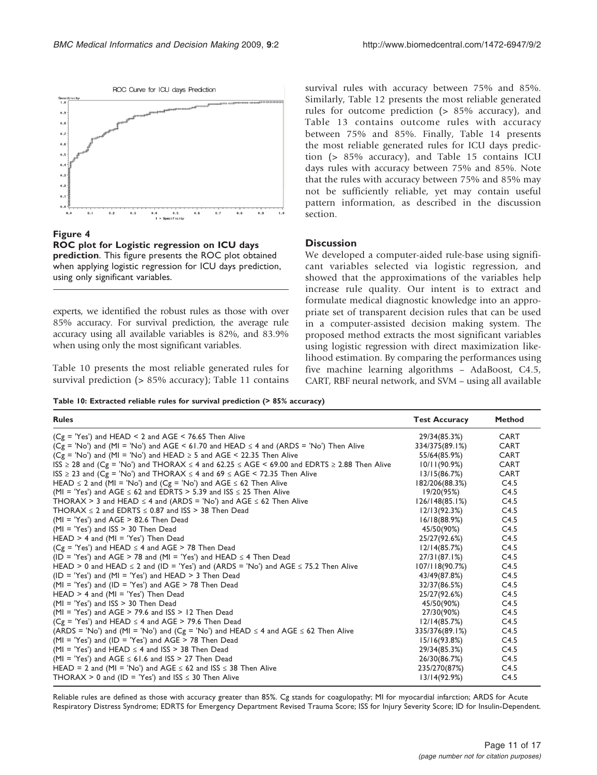<span id="page-10-0"></span>

Figure 4 ROC plot for Logistic regression on ICU days prediction. This figure presents the ROC plot obtained when applying logistic regression for ICU days prediction, using only significant variables.

experts, we identified the robust rules as those with over 85% accuracy. For survival prediction, the average rule accuracy using all available variables is 82%, and 83.9% when using only the most significant variables.

Table 10 presents the most reliable generated rules for survival prediction (> 85% accuracy); Table [11](#page-11-0) contains

survival rules with accuracy between 75% and 85%. Similarly, Table [12](#page-12-0) presents the most reliable generated rules for outcome prediction (> 85% accuracy), and Table [13](#page-13-0) contains outcome rules with accuracy between 75% and 85%. Finally, Table [14](#page-14-0) presents the most reliable generated rules for ICU days prediction (> 85% accuracy), and Table [15](#page-15-0) contains ICU days rules with accuracy between 75% and 85%. Note that the rules with accuracy between 75% and 85% may not be sufficiently reliable, yet may contain useful pattern information, as described in the discussion section.

#### **Discussion**

We developed a computer-aided rule-base using significant variables selected via logistic regression, and showed that the approximations of the variables help increase rule quality. Our intent is to extract and formulate medical diagnostic knowledge into an appropriate set of transparent decision rules that can be used in a computer-assisted decision making system. The proposed method extracts the most significant variables using logistic regression with direct maximization likelihood estimation. By comparing the performances using five machine learning algorithms – AdaBoost, C4.5, CART, RBF neural network, and SVM – using all available

Table 10: Extracted reliable rules for survival prediction (> 85% accuracy)

| <b>Rules</b>                                                                                                           | <b>Test Accuracy</b> | <b>Method</b> |
|------------------------------------------------------------------------------------------------------------------------|----------------------|---------------|
| $(Cg = 'Yes')$ and HEAD < 2 and AGE < 76.65 Then Alive                                                                 | 29/34(85.3%)         | <b>CART</b>   |
| $(Cg = 'No')$ and $(MI = 'No')$ and AGE < 61.70 and HEAD $\leq$ 4 and (ARDS = 'No') Then Alive                         | 334/375(89.1%)       | <b>CART</b>   |
| $(Cg = 'No')$ and $(MI = 'No')$ and HEAD $\geq 5$ and AGE < 22.35 Then Alive                                           | 55/64(85.9%)         | <b>CART</b>   |
| $ISS \geq 28$ and $(Cg = 'No')$ and THORAX $\leq 4$ and 62.25 $\leq$ AGE $\leq 69.00$ and EDRTS $\geq 2.88$ Then Alive | 10/11(90.9%)         | <b>CART</b>   |
| $ISS \geq 23$ and $(Cg = 'No')$ and THORAX $\leq 4$ and 69 $\leq$ AGE $\leq 72.35$ Then Alive                          | 13/15(86.7%)         | <b>CART</b>   |
| HEAD $\leq$ 2 and (MI = 'No') and (Cg = 'No') and AGE $\leq$ 62 Then Alive                                             | 182/206(88.3%)       | C4.5          |
| (MI = 'Yes') and AGE $\leq$ 62 and EDRTS > 5.39 and ISS $\leq$ 25 Then Alive                                           | 19/20(95%)           | C4.5          |
| THORAX > 3 and HEAD $\leq$ 4 and (ARDS = 'No') and AGE $\leq$ 62 Then Alive                                            | 126/148(85.1%)       | C4.5          |
| THORAX $\leq$ 2 and EDRTS $\leq$ 0.87 and ISS > 38 Then Dead                                                           | 12/13(92.3%)         | C4.5          |
| $(MI = 'Yes')$ and AGE > 82.6 Then Dead                                                                                | 16/18(88.9%)         | C4.5          |
| $(MI = 'Yes')$ and $ISS > 30$ Then Dead                                                                                | 45/50(90%)           | C4.5          |
| $HEAD > 4$ and $(MI = 'Yes')$ Then Dead                                                                                | 25/27(92.6%)         | C4.5          |
| (Cg = 'Yes') and HEAD $\leq$ 4 and AGE > 78 Then Dead                                                                  | 12/14(85.7%)         | C4.5          |
| (ID = 'Yes') and AGE > 78 and (MI = 'Yes') and HEAD $\leq$ 4 Then Dead                                                 | 27/31(87.1%)         | C4.5          |
| HEAD > 0 and HEAD $\leq$ 2 and (ID = 'Yes') and (ARDS = 'No') and AGE $\leq$ 75.2 Then Alive                           | 107/118(90.7%)       | C4.5          |
| $(ID = 'Yes')$ and $(MI = 'Yes')$ and HEAD > 3 Then Dead                                                               | 43/49(87.8%)         | C4.5          |
| $(MI = 'Yes')$ and $(ID = 'Yes')$ and $AGE > 78$ Then Dead                                                             | 32/37(86.5%)         | C4.5          |
| $HEAD > 4$ and $(MI = 'Yes')$ Then Dead                                                                                | 25/27(92.6%)         | C4.5          |
| $(MI = 'Yes')$ and $ISS > 30$ Then Dead                                                                                | 45/50(90%)           | C4.5          |
| $(MI = 'Yes')$ and AGE > 79.6 and ISS > 12 Then Dead                                                                   | 27/30(90%)           | C4.5          |
| (Cg = 'Yes') and HEAD $\leq$ 4 and AGE > 79.6 Then Dead                                                                | 12/14(85.7%)         | C4.5          |
| (ARDS = 'No') and (MI = 'No') and (Cg = 'No') and HEAD $\leq$ 4 and AGE $\leq$ 62 Then Alive                           | 335/376(89.1%)       | C4.5          |
| $(MI = 'Yes')$ and $(ID = 'Yes')$ and $AGE > 78$ Then Dead                                                             | 15/16(93.8%)         | C4.5          |
| (MI = 'Yes') and HEAD $\leq$ 4 and ISS > 38 Then Dead                                                                  | 29/34(85.3%)         | C4.5          |
| $(MI = 'Yes')$ and AGE $\leq$ 61.6 and ISS > 27 Then Dead                                                              | 26/30(86.7%)         | C4.5          |
| HEAD = 2 and (MI = 'No') and AGE $\leq$ 62 and ISS $\leq$ 38 Then Alive                                                | 235/270(87%)         | C4.5          |
| THORAX > 0 and (ID = 'Yes') and ISS $\leq$ 30 Then Alive                                                               | 13/14(92.9%)         | C4.5          |

Reliable rules are defined as those with accuracy greater than 85%. Cg stands for coagulopathy; MI for myocardial infarction; ARDS for Acute Respiratory Distress Syndrome; EDRTS for Emergency Department Revised Trauma Score; ISS for Injury Severity Score; ID for Insulin-Dependent.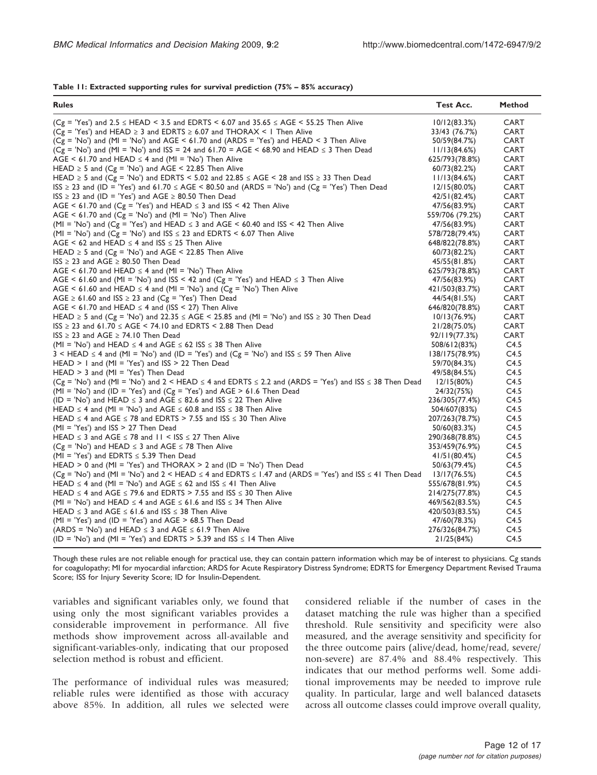#### <span id="page-11-0"></span>Table 11: Extracted supporting rules for survival prediction (75% – 85% accuracy)

| <b>Rules</b>                                                                                                              | Test Acc.       | Method       |
|---------------------------------------------------------------------------------------------------------------------------|-----------------|--------------|
| $(Cg = 'Yes')$ and 2.5 $\leq$ HEAD < 3.5 and EDRTS < 6.07 and 35.65 $\leq$ AGE < 55.25 Then Alive                         | 10/12(83.3%)    | <b>CART</b>  |
| $(Cg = 'Yes')$ and HEAD $\geq 3$ and EDRTS $\geq 6.07$ and THORAX < 1 Then Alive                                          | 33/43 (76.7%)   | <b>CART</b>  |
| $(Cg = 'No')$ and $(MI = 'No')$ and $AGE < 61.70$ and $(ARDS = 'Yes')$ and HEAD < 3 Then Alive                            | 50/59(84.7%)    | <b>CART</b>  |
| $(Cg = 'No')$ and $(MI = 'No')$ and ISS = 24 and 61.70 = AGE < 68.90 and HEAD $\leq$ 3 Then Dead                          | 11/13(84.6%)    | <b>CART</b>  |
| $AGE \leq 61.70$ and HEAD $\leq 4$ and (MI = 'No') Then Alive                                                             | 625/793(78.8%)  | <b>CART</b>  |
| HEAD $\geq$ 5 and (Cg = 'No') and AGE < 22.85 Then Alive                                                                  | 60/73(82.2%)    | <b>CART</b>  |
| HEAD $\ge$ 5 and (Cg = 'No') and EDRTS < 5.02 and 22.85 $\le$ AGE < 28 and ISS $\ge$ 33 Then Dead                         | 11/13(84.6%)    | <b>CART</b>  |
| $ISS \geq 23$ and (ID = 'Yes') and 61.70 $\leq$ AGE < 80.50 and (ARDS = 'No') and (Cg = 'Yes') Then Dead                  | 12/15(80.0%)    | <b>CART</b>  |
| $ISS \geq 23$ and (ID = 'Yes') and AGE $\geq 80.50$ Then Dead                                                             | 42/51(82.4%)    | <b>CART</b>  |
| AGE $\leq$ 61.70 and (Cg = 'Yes') and HEAD $\leq$ 3 and ISS $\leq$ 42 Then Alive                                          | 47/56(83.9%)    | <b>CART</b>  |
| $AGE \leq 61.70$ and $(Cg = 'No')$ and $(MI = 'No')$ Then Alive                                                           | 559/706 (79.2%) | <b>CART</b>  |
| (MI = 'No') and (Cg = 'Yes') and HEAD $\leq$ 3 and AGE $\leq$ 60.40 and ISS $\leq$ 42 Then Alive                          | 47/56(83.9%)    | <b>CART</b>  |
| (MI = 'No') and (Cg = 'No') and ISS $\leq$ 23 and EDRTS < 6.07 Then Alive                                                 | 578/728(79.4%)  | <b>CART</b>  |
| $AGE \le 62$ and HEAD $\le$ 4 and ISS $\le$ 25 Then Alive                                                                 | 648/822(78.8%)  | <b>CART</b>  |
| HEAD $\geq$ 5 and (Cg = 'No') and AGE < 22.85 Then Alive                                                                  | 60/73(82.2%)    | <b>CART</b>  |
| $ISS \geq 23$ and AGE $\geq 80.50$ Then Dead                                                                              | 45/55(81.8%)    | <b>CART</b>  |
| $AGE \leq 61.70$ and HEAD $\leq 4$ and (MI = 'No') Then Alive                                                             | 625/793(78.8%)  | <b>CART</b>  |
| AGE $\le$ 61.60 and (MI = 'No') and ISS $\le$ 42 and (Cg = 'Yes') and HEAD $\le$ 3 Then Alive                             | 47/56(83.9%)    | CART         |
| $AGE \leq 61.60$ and HEAD $\leq 4$ and (MI = 'No') and (Cg = 'No') Then Alive                                             | 421/503(83.7%)  | CART         |
| $AGE \ge 61.60$ and $ISS \ge 23$ and $(Cg = 'Yes')$ Then Dead                                                             | 44/54(81.5%)    | <b>CART</b>  |
| AGE $< 61.70$ and HEAD $\leq 4$ and (ISS $< 27$ ) Then Alive                                                              | 646/820(78.8%)  | <b>CART</b>  |
| HEAD $\geq$ 5 and (Cg = 'No') and 22.35 $\leq$ AGE < 25.85 and (MI = 'No') and ISS $\geq$ 30 Then Dead                    | 10/13(76.9%)    | <b>CART</b>  |
| $ISS \geq 23$ and 61.70 $\leq$ AGE $\leq$ 74.10 and EDRTS $\leq$ 2.88 Then Dead                                           | 21/28(75.0%)    | CART         |
| $ISS \geq 23$ and AGE $\geq 74.10$ Then Dead                                                                              | 92/119(77.3%)   | <b>CART</b>  |
| $(MI = 'No')$ and HEAD $\leq$ 4 and AGE $\leq$ 62 ISS $\leq$ 38 Then Alive                                                | 508/612(83%)    | C4.5         |
| $3 \leq HEAD \leq 4$ and (MI = 'No') and (ID = 'Yes') and (Cg = 'No') and ISS $\leq 59$ Then Alive                        | 138/175(78.9%)  | C4.5         |
| HEAD > 1 and ( $MI = 'Yes'$ ) and $ISS > 22$ Then Dead                                                                    | 59/70(84.3%)    | C4.5         |
| HEAD > 3 and (MI = 'Yes') Then Dead                                                                                       | 49/58(84.5%)    | C4.5         |
|                                                                                                                           |                 |              |
| $(Cg = 'No')$ and $(MI = 'No')$ and $2 < HEAD \le 4$ and EDRTS $\le 2.2$ and (ARDS = 'Yes') and ISS $\le 38$ Then Dead    | 12/15(80%)      | C4.5<br>C4.5 |
| (MI = 'No') and (ID = 'Yes') and (Cg = 'Yes') and AGE > 61.6 Then Dead                                                    | 24/32(75%)      |              |
| (ID = 'No') and HEAD $\leq$ 3 and AGE $\leq$ 82.6 and ISS $\leq$ 22 Then Alive                                            | 236/305(77.4%)  | C4.5         |
| HEAD $\leq$ 4 and (MI = 'No') and AGE $\leq$ 60.8 and ISS $\leq$ 38 Then Alive                                            | 504/607(83%)    | C4.5         |
| HEAD $\leq$ 4 and AGE $\leq$ 78 and EDRTS $>$ 7.55 and ISS $\leq$ 30 Then Alive                                           | 207/263(78.7%)  | C4.5         |
| $(MI = 'Yes')$ and $ISS > 27$ Then Dead                                                                                   | 50/60(83.3%)    | C4.5         |
| HEAD $\leq$ 3 and AGE $\leq$ 78 and 11 < ISS $\leq$ 27 Then Alive                                                         | 290/368(78.8%)  | C4.5         |
| $(Cg = 'No')$ and HEAD $\leq$ 3 and AGE $\leq$ 78 Then Alive                                                              | 353/459(76.9%)  | C4.5         |
| (MI = 'Yes') and EDRTS $\leq$ 5.39 Then Dead                                                                              | 41/51(80.4%)    | C4.5         |
| HEAD > 0 and (MI = 'Yes') and THORAX > 2 and (ID = 'No') Then Dead                                                        | 50/63(79.4%)    | C4.5         |
| $(Cg = 'No')$ and $(MI = 'No')$ and $2 < HEAD \le 4$ and EDRTS $\le 1.47$ and $(ARDS = 'Yes')$ and $ISS \le 41$ Then Dead | 13/17(76.5%)    | C4.5         |
| HEAD $\leq$ 4 and (MI = 'No') and AGE $\leq$ 62 and ISS $\leq$ 41 Then Alive                                              | 555/678(81.9%)  | C4.5         |
| HEAD $\leq$ 4 and AGE $\leq$ 79.6 and EDRTS $>$ 7.55 and ISS $\leq$ 30 Then Alive                                         | 214/275(77.8%)  | C4.5         |
| (MI = 'No') and HEAD $\leq$ 4 and AGE $\leq$ 61.6 and ISS $\leq$ 34 Then Alive                                            | 469/562(83.5%)  | C4.5         |
| HEAD $\leq$ 3 and AGE $\leq$ 61.6 and ISS $\leq$ 38 Then Alive                                                            | 420/503(83.5%)  | C4.5         |
| $(MI = 'Yes')$ and $(ID = 'Yes')$ and $AGE > 68.5$ Then Dead                                                              | 47/60(78.3%)    | C4.5         |
| $(ARDS = 'No')$ and HEAD $\leq$ 3 and AGE $\leq$ 61.9 Then Alive                                                          | 276/326(84.7%)  | C4.5         |
| $(ID = 'No')$ and $(MI = 'Yes')$ and EDRTS > 5.39 and ISS $\leq$ 14 Then Alive                                            | 21/25(84%)      | C4.5         |

Though these rules are not reliable enough for practical use, they can contain pattern information which may be of interest to physicians. Cg stands for coagulopathy; MI for myocardial infarction; ARDS for Acute Respiratory Distress Syndrome; EDRTS for Emergency Department Revised Trauma Score; ISS for Injury Severity Score; ID for Insulin-Dependent.

variables and significant variables only, we found that using only the most significant variables provides a considerable improvement in performance. All five methods show improvement across all-available and significant-variables-only, indicating that our proposed selection method is robust and efficient.

The performance of individual rules was measured; reliable rules were identified as those with accuracy above 85%. In addition, all rules we selected were considered reliable if the number of cases in the dataset matching the rule was higher than a specified threshold. Rule sensitivity and specificity were also measured, and the average sensitivity and specificity for the three outcome pairs (alive/dead, home/read, severe/ non-severe) are 87.4% and 88.4% respectively. This indicates that our method performs well. Some additional improvements may be needed to improve rule quality. In particular, large and well balanced datasets across all outcome classes could improve overall quality,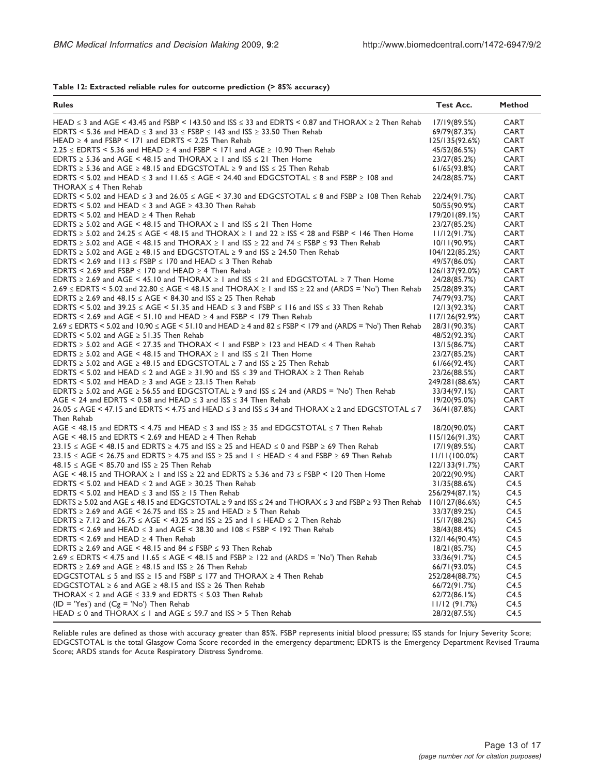#### <span id="page-12-0"></span>Table 12: Extracted reliable rules for outcome prediction (> 85% accuracy)

| 17/19(89.5%)<br><b>CART</b><br>69/79(87.3%)<br><b>CART</b><br>HEAD ≥ 4 and FSBP < 171 and EDRTS < 2.25 Then Rehab<br>125/135(92.6%)<br>CART<br>45/52(86.5%)<br><b>CART</b><br>EDRTS $\ge$ 5.36 and AGE < 48.15 and THORAX $\ge$ 1 and ISS $\le$ 21 Then Home<br>23/27(85.2%)<br><b>CART</b><br>EDRTS $\ge$ 5.36 and AGE $\ge$ 48.15 and EDGCSTOTAL $\ge$ 9 and ISS $\le$ 25 Then Rehab<br>CART<br>61/65(93.8%)<br>EDRTS < 5.02 and HEAD $\leq$ 3 and 11.65 $\leq$ AGE < 24.40 and EDGCSTOTAL $\leq$ 8 and FSBP $\geq$ 108 and<br>24/28(85.7%)<br><b>CART</b><br>THORAX $\leq$ 4 Then Rehab<br>EDRTS < 5.02 and HEAD $\leq$ 3 and 26.05 $\leq$ AGE < 37.30 and EDGCSTOTAL $\leq$ 8 and FSBP $\geq$ 108 Then Rehab<br>22/24(91.7%)<br><b>CART</b><br>EDRTS $\le$ 5.02 and HEAD $\le$ 3 and AGE $\ge$ 43.30 Then Rehab<br>50/55(90.9%)<br><b>CART</b><br>EDRTS $\le$ 5.02 and HEAD $\ge$ 4 Then Rehab<br><b>CART</b><br>179/201(89.1%)<br>EDRTS $\ge$ 5.02 and AGE < 48.15 and THORAX $\ge$ 1 and ISS $\le$ 21 Then Home<br>23/27(85.2%)<br><b>CART</b><br>EDRTS $\geq$ 5.02 and 24.25 $\leq$ AGE < 48.15 and THORAX $\geq$ 1 and 22 $\geq$ ISS < 28 and FSBP < 146 Then Home<br>11/12(91.7%)<br>CART<br>EDRTS $\ge$ 5.02 and AGE < 48.15 and THORAX $\ge$ 1 and ISS $\ge$ 22 and 74 $\le$ FSBP $\le$ 93 Then Rehab<br>10/11(90.9%)<br><b>CART</b><br>EDRTS $\ge$ 5.02 and AGE $\ge$ 48.15 and EDGCSTOTAL $\ge$ 9 and ISS $\ge$ 24.50 Then Rehab<br>104/122(85.2%)<br>CART<br>EDRTS < 2.69 and 113 $\leq$ FSBP $\leq$ 170 and HEAD $\leq$ 3 Then Rehab<br><b>CART</b><br>49/57(86.0%)<br>EDRTS < 2.69 and FSBP $\leq$ 170 and HEAD $\geq$ 4 Then Rehab<br>126/137(92.0%)<br><b>CART</b><br>EDRTS $\geq$ 2.69 and AGE < 45.10 and THORAX $\geq$ 1 and ISS $\leq$ 21 and EDGCSTOTAL $\geq$ 7 Then Home<br>24/28(85.7%)<br>CART<br>$2.69 \le$ EDRTS < 5.02 and 22.80 $\le$ AGE < 48.15 and THORAX $\ge$ 1 and ISS $\ge$ 22 and (ARDS = 'No') Then Rehab<br>25/28(89.3%)<br>CART<br>EDRTS $\geq$ 2.69 and 48.15 $\leq$ AGE < 84.30 and ISS $\geq$ 25 Then Rehab<br>74/79(93.7%)<br><b>CART</b><br>EDRTS < 5.02 and 39.25 $\leq$ AGE < 51.35 and HEAD $\leq$ 3 and FSBP $\leq$ 116 and ISS $\leq$ 33 Then Rehab<br>12/13(92.3%)<br>CART<br>EDRTS < 2.69 and AGE < $51.10$ and HEAD $\geq 4$ and FSBP < 179 Then Rehab<br>117/126(92.9%)<br><b>CART</b><br>$2.69 \leq$ EDRTS < 5.02 and 10.90 $\leq$ AGE < 51.10 and HEAD $\geq$ 4 and 82 $\leq$ FSBP < 179 and (ARDS = 'No') Then Rehab<br><b>CART</b><br>28/31(90.3%)<br>EDRTS $\le$ 5.02 and AGE $\ge$ 51.35 Then Rehab<br>48/52(92.3%)<br><b>CART</b><br>EDRTS $\ge$ 5.02 and AGE < 27.35 and THORAX < 1 and FSBP $\ge$ 123 and HEAD $\le$ 4 Then Rehab<br><b>CART</b><br>13/15(86.7%)<br>EDRTS $\ge$ 5.02 and AGE < 48.15 and THORAX $\ge$ 1 and ISS $\le$ 21 Then Home<br>23/27(85.2%)<br>CART<br>EDRTS $\geq$ 5.02 and AGE $\geq$ 48.15 and EDGCSTOTAL $\geq$ 7 and ISS $\geq$ 25 Then Rehab<br>61/66(92.4%)<br><b>CART</b><br>23/26(88.5%)<br><b>CART</b><br>EDRTS < 5.02 and HEAD $\geq$ 3 and AGE $\geq$ 23.15 Then Rehab<br>249/281 (88.6%)<br><b>CART</b><br>33/34(97.1%)<br><b>CART</b><br>19/20(95.0%)<br><b>CART</b><br>$26.05 \leq$ AGE < 47.15 and EDRTS < 4.75 and HEAD $\leq$ 3 and ISS $\leq$ 34 and THORAX $\geq$ 2 and EDGCSTOTAL $\leq$ 7<br><b>CART</b><br>36/41(87.8%)<br>18/20(90.0%)<br>CART<br>AGE < 48.15 and EDRTS < 2.69 and HEAD $\geq$ 4 Then Rehab<br>CART<br>115/126(91.3%)<br>CART<br>17/19(89.5%)<br>11/11(100.0%)<br><b>CART</b><br>$48.15 \leq AGE \leq 85.70$ and $ISS \geq 25$ Then Rehab<br>122/133(91.7%)<br><b>CART</b><br>AGE < 48.15 and THORAX $\ge$ 1 and ISS $\ge$ 22 and EDRTS $\ge$ 5.36 and 73 $\le$ FSBP < 120 Then Home<br>20/22(90.9%)<br>CART<br>EDRTS < 5.02 and HEAD $\leq$ 2 and AGE $\geq$ 30.25 Then Rehab<br>31/35(88.6%)<br>C4.5<br>EDRTS < 5.02 and HEAD $\leq$ 3 and ISS $\geq$ 15 Then Rehab<br>256/294(87.1%)<br>C4.5<br>EDRTS $\ge$ 5.02 and AGE $\le$ 48.15 and EDGCSTOTAL $\ge$ 9 and ISS $\le$ 24 and THORAX $\le$ 3 and FSBP $\ge$ 93 Then Rehab 110/127(86.6%)<br>C4.5<br>EDRTS $\geq$ 2.69 and AGE < 26.75 and ISS $\geq$ 25 and HEAD $\geq$ 5 Then Rehab<br>C4.5<br>33/37(89.2%)<br>C4.5<br>EDRTS $\ge$ 7.12 and 26.75 $\le$ AGE < 43.25 and ISS $\ge$ 25 and I $\le$ HEAD $\le$ 2 Then Rehab<br>15/17(88.2%)<br>C4.5<br>EDRTS < 2.69 and HEAD $\leq$ 3 and AGE < 38.30 and 108 $\leq$ FSBP < 192 Then Rehab<br>38/43(88.4%)<br>EDRTS < 2.69 and HEAD $\geq$ 4 Then Rehab<br>132/146(90.4%)<br>C4.5<br>EDRTS $\geq$ 2.69 and AGE < 48.15 and 84 $\leq$ FSBP $\leq$ 93 Then Rehab<br>18/21(85.7%)<br>C4.5<br>$2.69 \le$ EDRTS < 4.75 and 11.65 $\le$ AGE < 48.15 and FSBP $\ge$ 122 and (ARDS = 'No') Then Rehab<br>33/36(91.7%)<br>C4.5<br>EDRTS $\geq$ 2.69 and AGE $\geq$ 48.15 and ISS $\geq$ 26 Then Rehab<br>C4.5<br>66/71(93.0%)<br>EDGCSTOTAL $\leq$ 5 and ISS $\geq$ 15 and FSBP $\leq$ 177 and THORAX $\geq$ 4 Then Rehab<br>C4.5<br>252/284(88.7%)<br>EDGCSTOTAL $\geq 6$ and AGE $\geq 48.15$ and ISS $\geq 26$ Then Rehab<br>C4.5<br>66/72(91.7%)<br>THORAX $\leq$ 2 and AGE $\leq$ 33.9 and EDRTS $\leq$ 5.03 Then Rehab<br>C4.5<br>62/72(86.1%)<br>$(ID = 'Yes' )$ and $(Cg = 'No')$ Then Rehab<br>11/12(91.7%)<br>C4.5 | <b>Rules</b>                                                                                                                     | Test Acc.    | <b>Method</b> |
|---------------------------------------------------------------------------------------------------------------------------------------------------------------------------------------------------------------------------------------------------------------------------------------------------------------------------------------------------------------------------------------------------------------------------------------------------------------------------------------------------------------------------------------------------------------------------------------------------------------------------------------------------------------------------------------------------------------------------------------------------------------------------------------------------------------------------------------------------------------------------------------------------------------------------------------------------------------------------------------------------------------------------------------------------------------------------------------------------------------------------------------------------------------------------------------------------------------------------------------------------------------------------------------------------------------------------------------------------------------------------------------------------------------------------------------------------------------------------------------------------------------------------------------------------------------------------------------------------------------------------------------------------------------------------------------------------------------------------------------------------------------------------------------------------------------------------------------------------------------------------------------------------------------------------------------------------------------------------------------------------------------------------------------------------------------------------------------------------------------------------------------------------------------------------------------------------------------------------------------------------------------------------------------------------------------------------------------------------------------------------------------------------------------------------------------------------------------------------------------------------------------------------------------------------------------------------------------------------------------------------------------------------------------------------------------------------------------------------------------------------------------------------------------------------------------------------------------------------------------------------------------------------------------------------------------------------------------------------------------------------------------------------------------------------------------------------------------------------------------------------------------------------------------------------------------------------------------------------------------------------------------------------------------------------------------------------------------------------------------------------------------------------------------------------------------------------------------------------------------------------------------------------------------------------------------------------------------------------------------------------------------------------------------------------------------------------------------------------------------------------------------------------------------------------------------------------------------------------------------------------------------------------------------------------------------------------------------------------------------------------------------------------------------------------------------------------------------------------------------------------------------------------------------------------------------------------------------------------------------------------------------------------------------------------------------------------------------------------------------------------------------------------------------------------------------------------------------------------------------------------------------------------------------------------------------------------------------------------------------------------------------------------------------------------------------------------------------------------------------------------------------------------------------------------------------------------------------------------------------------------------------------------------------------------------------------------------------------------------------------------------------------------------------------------------------------------------------------------------------------------------------------------------------------------------------------------------------------------------------------------------|----------------------------------------------------------------------------------------------------------------------------------|--------------|---------------|
|                                                                                                                                                                                                                                                                                                                                                                                                                                                                                                                                                                                                                                                                                                                                                                                                                                                                                                                                                                                                                                                                                                                                                                                                                                                                                                                                                                                                                                                                                                                                                                                                                                                                                                                                                                                                                                                                                                                                                                                                                                                                                                                                                                                                                                                                                                                                                                                                                                                                                                                                                                                                                                                                                                                                                                                                                                                                                                                                                                                                                                                                                                                                                                                                                                                                                                                                                                                                                                                                                                                                                                                                                                                                                                                                                                                                                                                                                                                                                                                                                                                                                                                                                                                                                                                                                                                                                                                                                                                                                                                                                                                                                                                                                                                                                                                                                                                                                                                                                                                                                                                                                                                                                                                                                                                         | HEAD $\leq$ 3 and AGE $\leq$ 43.45 and FSBP $\leq$ 143.50 and ISS $\leq$ 33 and EDRTS $\leq$ 0.87 and THORAX $\geq$ 2 Then Rehab |              |               |
|                                                                                                                                                                                                                                                                                                                                                                                                                                                                                                                                                                                                                                                                                                                                                                                                                                                                                                                                                                                                                                                                                                                                                                                                                                                                                                                                                                                                                                                                                                                                                                                                                                                                                                                                                                                                                                                                                                                                                                                                                                                                                                                                                                                                                                                                                                                                                                                                                                                                                                                                                                                                                                                                                                                                                                                                                                                                                                                                                                                                                                                                                                                                                                                                                                                                                                                                                                                                                                                                                                                                                                                                                                                                                                                                                                                                                                                                                                                                                                                                                                                                                                                                                                                                                                                                                                                                                                                                                                                                                                                                                                                                                                                                                                                                                                                                                                                                                                                                                                                                                                                                                                                                                                                                                                                         | EDRTS < 5.36 and HEAD $\leq$ 3 and 33 $\leq$ FSBP $\leq$ 143 and ISS $\geq$ 33.50 Then Rehab                                     |              |               |
|                                                                                                                                                                                                                                                                                                                                                                                                                                                                                                                                                                                                                                                                                                                                                                                                                                                                                                                                                                                                                                                                                                                                                                                                                                                                                                                                                                                                                                                                                                                                                                                                                                                                                                                                                                                                                                                                                                                                                                                                                                                                                                                                                                                                                                                                                                                                                                                                                                                                                                                                                                                                                                                                                                                                                                                                                                                                                                                                                                                                                                                                                                                                                                                                                                                                                                                                                                                                                                                                                                                                                                                                                                                                                                                                                                                                                                                                                                                                                                                                                                                                                                                                                                                                                                                                                                                                                                                                                                                                                                                                                                                                                                                                                                                                                                                                                                                                                                                                                                                                                                                                                                                                                                                                                                                         |                                                                                                                                  |              |               |
|                                                                                                                                                                                                                                                                                                                                                                                                                                                                                                                                                                                                                                                                                                                                                                                                                                                                                                                                                                                                                                                                                                                                                                                                                                                                                                                                                                                                                                                                                                                                                                                                                                                                                                                                                                                                                                                                                                                                                                                                                                                                                                                                                                                                                                                                                                                                                                                                                                                                                                                                                                                                                                                                                                                                                                                                                                                                                                                                                                                                                                                                                                                                                                                                                                                                                                                                                                                                                                                                                                                                                                                                                                                                                                                                                                                                                                                                                                                                                                                                                                                                                                                                                                                                                                                                                                                                                                                                                                                                                                                                                                                                                                                                                                                                                                                                                                                                                                                                                                                                                                                                                                                                                                                                                                                         | $2.25 \le$ EDRTS < 5.36 and HEAD $\ge$ 4 and FSBP < 171 and AGE $\ge$ 10.90 Then Rehab                                           |              |               |
|                                                                                                                                                                                                                                                                                                                                                                                                                                                                                                                                                                                                                                                                                                                                                                                                                                                                                                                                                                                                                                                                                                                                                                                                                                                                                                                                                                                                                                                                                                                                                                                                                                                                                                                                                                                                                                                                                                                                                                                                                                                                                                                                                                                                                                                                                                                                                                                                                                                                                                                                                                                                                                                                                                                                                                                                                                                                                                                                                                                                                                                                                                                                                                                                                                                                                                                                                                                                                                                                                                                                                                                                                                                                                                                                                                                                                                                                                                                                                                                                                                                                                                                                                                                                                                                                                                                                                                                                                                                                                                                                                                                                                                                                                                                                                                                                                                                                                                                                                                                                                                                                                                                                                                                                                                                         |                                                                                                                                  |              |               |
|                                                                                                                                                                                                                                                                                                                                                                                                                                                                                                                                                                                                                                                                                                                                                                                                                                                                                                                                                                                                                                                                                                                                                                                                                                                                                                                                                                                                                                                                                                                                                                                                                                                                                                                                                                                                                                                                                                                                                                                                                                                                                                                                                                                                                                                                                                                                                                                                                                                                                                                                                                                                                                                                                                                                                                                                                                                                                                                                                                                                                                                                                                                                                                                                                                                                                                                                                                                                                                                                                                                                                                                                                                                                                                                                                                                                                                                                                                                                                                                                                                                                                                                                                                                                                                                                                                                                                                                                                                                                                                                                                                                                                                                                                                                                                                                                                                                                                                                                                                                                                                                                                                                                                                                                                                                         |                                                                                                                                  |              |               |
|                                                                                                                                                                                                                                                                                                                                                                                                                                                                                                                                                                                                                                                                                                                                                                                                                                                                                                                                                                                                                                                                                                                                                                                                                                                                                                                                                                                                                                                                                                                                                                                                                                                                                                                                                                                                                                                                                                                                                                                                                                                                                                                                                                                                                                                                                                                                                                                                                                                                                                                                                                                                                                                                                                                                                                                                                                                                                                                                                                                                                                                                                                                                                                                                                                                                                                                                                                                                                                                                                                                                                                                                                                                                                                                                                                                                                                                                                                                                                                                                                                                                                                                                                                                                                                                                                                                                                                                                                                                                                                                                                                                                                                                                                                                                                                                                                                                                                                                                                                                                                                                                                                                                                                                                                                                         |                                                                                                                                  |              |               |
|                                                                                                                                                                                                                                                                                                                                                                                                                                                                                                                                                                                                                                                                                                                                                                                                                                                                                                                                                                                                                                                                                                                                                                                                                                                                                                                                                                                                                                                                                                                                                                                                                                                                                                                                                                                                                                                                                                                                                                                                                                                                                                                                                                                                                                                                                                                                                                                                                                                                                                                                                                                                                                                                                                                                                                                                                                                                                                                                                                                                                                                                                                                                                                                                                                                                                                                                                                                                                                                                                                                                                                                                                                                                                                                                                                                                                                                                                                                                                                                                                                                                                                                                                                                                                                                                                                                                                                                                                                                                                                                                                                                                                                                                                                                                                                                                                                                                                                                                                                                                                                                                                                                                                                                                                                                         |                                                                                                                                  |              |               |
|                                                                                                                                                                                                                                                                                                                                                                                                                                                                                                                                                                                                                                                                                                                                                                                                                                                                                                                                                                                                                                                                                                                                                                                                                                                                                                                                                                                                                                                                                                                                                                                                                                                                                                                                                                                                                                                                                                                                                                                                                                                                                                                                                                                                                                                                                                                                                                                                                                                                                                                                                                                                                                                                                                                                                                                                                                                                                                                                                                                                                                                                                                                                                                                                                                                                                                                                                                                                                                                                                                                                                                                                                                                                                                                                                                                                                                                                                                                                                                                                                                                                                                                                                                                                                                                                                                                                                                                                                                                                                                                                                                                                                                                                                                                                                                                                                                                                                                                                                                                                                                                                                                                                                                                                                                                         |                                                                                                                                  |              |               |
|                                                                                                                                                                                                                                                                                                                                                                                                                                                                                                                                                                                                                                                                                                                                                                                                                                                                                                                                                                                                                                                                                                                                                                                                                                                                                                                                                                                                                                                                                                                                                                                                                                                                                                                                                                                                                                                                                                                                                                                                                                                                                                                                                                                                                                                                                                                                                                                                                                                                                                                                                                                                                                                                                                                                                                                                                                                                                                                                                                                                                                                                                                                                                                                                                                                                                                                                                                                                                                                                                                                                                                                                                                                                                                                                                                                                                                                                                                                                                                                                                                                                                                                                                                                                                                                                                                                                                                                                                                                                                                                                                                                                                                                                                                                                                                                                                                                                                                                                                                                                                                                                                                                                                                                                                                                         |                                                                                                                                  |              |               |
|                                                                                                                                                                                                                                                                                                                                                                                                                                                                                                                                                                                                                                                                                                                                                                                                                                                                                                                                                                                                                                                                                                                                                                                                                                                                                                                                                                                                                                                                                                                                                                                                                                                                                                                                                                                                                                                                                                                                                                                                                                                                                                                                                                                                                                                                                                                                                                                                                                                                                                                                                                                                                                                                                                                                                                                                                                                                                                                                                                                                                                                                                                                                                                                                                                                                                                                                                                                                                                                                                                                                                                                                                                                                                                                                                                                                                                                                                                                                                                                                                                                                                                                                                                                                                                                                                                                                                                                                                                                                                                                                                                                                                                                                                                                                                                                                                                                                                                                                                                                                                                                                                                                                                                                                                                                         |                                                                                                                                  |              |               |
|                                                                                                                                                                                                                                                                                                                                                                                                                                                                                                                                                                                                                                                                                                                                                                                                                                                                                                                                                                                                                                                                                                                                                                                                                                                                                                                                                                                                                                                                                                                                                                                                                                                                                                                                                                                                                                                                                                                                                                                                                                                                                                                                                                                                                                                                                                                                                                                                                                                                                                                                                                                                                                                                                                                                                                                                                                                                                                                                                                                                                                                                                                                                                                                                                                                                                                                                                                                                                                                                                                                                                                                                                                                                                                                                                                                                                                                                                                                                                                                                                                                                                                                                                                                                                                                                                                                                                                                                                                                                                                                                                                                                                                                                                                                                                                                                                                                                                                                                                                                                                                                                                                                                                                                                                                                         |                                                                                                                                  |              |               |
|                                                                                                                                                                                                                                                                                                                                                                                                                                                                                                                                                                                                                                                                                                                                                                                                                                                                                                                                                                                                                                                                                                                                                                                                                                                                                                                                                                                                                                                                                                                                                                                                                                                                                                                                                                                                                                                                                                                                                                                                                                                                                                                                                                                                                                                                                                                                                                                                                                                                                                                                                                                                                                                                                                                                                                                                                                                                                                                                                                                                                                                                                                                                                                                                                                                                                                                                                                                                                                                                                                                                                                                                                                                                                                                                                                                                                                                                                                                                                                                                                                                                                                                                                                                                                                                                                                                                                                                                                                                                                                                                                                                                                                                                                                                                                                                                                                                                                                                                                                                                                                                                                                                                                                                                                                                         |                                                                                                                                  |              |               |
|                                                                                                                                                                                                                                                                                                                                                                                                                                                                                                                                                                                                                                                                                                                                                                                                                                                                                                                                                                                                                                                                                                                                                                                                                                                                                                                                                                                                                                                                                                                                                                                                                                                                                                                                                                                                                                                                                                                                                                                                                                                                                                                                                                                                                                                                                                                                                                                                                                                                                                                                                                                                                                                                                                                                                                                                                                                                                                                                                                                                                                                                                                                                                                                                                                                                                                                                                                                                                                                                                                                                                                                                                                                                                                                                                                                                                                                                                                                                                                                                                                                                                                                                                                                                                                                                                                                                                                                                                                                                                                                                                                                                                                                                                                                                                                                                                                                                                                                                                                                                                                                                                                                                                                                                                                                         |                                                                                                                                  |              |               |
|                                                                                                                                                                                                                                                                                                                                                                                                                                                                                                                                                                                                                                                                                                                                                                                                                                                                                                                                                                                                                                                                                                                                                                                                                                                                                                                                                                                                                                                                                                                                                                                                                                                                                                                                                                                                                                                                                                                                                                                                                                                                                                                                                                                                                                                                                                                                                                                                                                                                                                                                                                                                                                                                                                                                                                                                                                                                                                                                                                                                                                                                                                                                                                                                                                                                                                                                                                                                                                                                                                                                                                                                                                                                                                                                                                                                                                                                                                                                                                                                                                                                                                                                                                                                                                                                                                                                                                                                                                                                                                                                                                                                                                                                                                                                                                                                                                                                                                                                                                                                                                                                                                                                                                                                                                                         |                                                                                                                                  |              |               |
|                                                                                                                                                                                                                                                                                                                                                                                                                                                                                                                                                                                                                                                                                                                                                                                                                                                                                                                                                                                                                                                                                                                                                                                                                                                                                                                                                                                                                                                                                                                                                                                                                                                                                                                                                                                                                                                                                                                                                                                                                                                                                                                                                                                                                                                                                                                                                                                                                                                                                                                                                                                                                                                                                                                                                                                                                                                                                                                                                                                                                                                                                                                                                                                                                                                                                                                                                                                                                                                                                                                                                                                                                                                                                                                                                                                                                                                                                                                                                                                                                                                                                                                                                                                                                                                                                                                                                                                                                                                                                                                                                                                                                                                                                                                                                                                                                                                                                                                                                                                                                                                                                                                                                                                                                                                         |                                                                                                                                  |              |               |
|                                                                                                                                                                                                                                                                                                                                                                                                                                                                                                                                                                                                                                                                                                                                                                                                                                                                                                                                                                                                                                                                                                                                                                                                                                                                                                                                                                                                                                                                                                                                                                                                                                                                                                                                                                                                                                                                                                                                                                                                                                                                                                                                                                                                                                                                                                                                                                                                                                                                                                                                                                                                                                                                                                                                                                                                                                                                                                                                                                                                                                                                                                                                                                                                                                                                                                                                                                                                                                                                                                                                                                                                                                                                                                                                                                                                                                                                                                                                                                                                                                                                                                                                                                                                                                                                                                                                                                                                                                                                                                                                                                                                                                                                                                                                                                                                                                                                                                                                                                                                                                                                                                                                                                                                                                                         |                                                                                                                                  |              |               |
|                                                                                                                                                                                                                                                                                                                                                                                                                                                                                                                                                                                                                                                                                                                                                                                                                                                                                                                                                                                                                                                                                                                                                                                                                                                                                                                                                                                                                                                                                                                                                                                                                                                                                                                                                                                                                                                                                                                                                                                                                                                                                                                                                                                                                                                                                                                                                                                                                                                                                                                                                                                                                                                                                                                                                                                                                                                                                                                                                                                                                                                                                                                                                                                                                                                                                                                                                                                                                                                                                                                                                                                                                                                                                                                                                                                                                                                                                                                                                                                                                                                                                                                                                                                                                                                                                                                                                                                                                                                                                                                                                                                                                                                                                                                                                                                                                                                                                                                                                                                                                                                                                                                                                                                                                                                         |                                                                                                                                  |              |               |
|                                                                                                                                                                                                                                                                                                                                                                                                                                                                                                                                                                                                                                                                                                                                                                                                                                                                                                                                                                                                                                                                                                                                                                                                                                                                                                                                                                                                                                                                                                                                                                                                                                                                                                                                                                                                                                                                                                                                                                                                                                                                                                                                                                                                                                                                                                                                                                                                                                                                                                                                                                                                                                                                                                                                                                                                                                                                                                                                                                                                                                                                                                                                                                                                                                                                                                                                                                                                                                                                                                                                                                                                                                                                                                                                                                                                                                                                                                                                                                                                                                                                                                                                                                                                                                                                                                                                                                                                                                                                                                                                                                                                                                                                                                                                                                                                                                                                                                                                                                                                                                                                                                                                                                                                                                                         |                                                                                                                                  |              |               |
|                                                                                                                                                                                                                                                                                                                                                                                                                                                                                                                                                                                                                                                                                                                                                                                                                                                                                                                                                                                                                                                                                                                                                                                                                                                                                                                                                                                                                                                                                                                                                                                                                                                                                                                                                                                                                                                                                                                                                                                                                                                                                                                                                                                                                                                                                                                                                                                                                                                                                                                                                                                                                                                                                                                                                                                                                                                                                                                                                                                                                                                                                                                                                                                                                                                                                                                                                                                                                                                                                                                                                                                                                                                                                                                                                                                                                                                                                                                                                                                                                                                                                                                                                                                                                                                                                                                                                                                                                                                                                                                                                                                                                                                                                                                                                                                                                                                                                                                                                                                                                                                                                                                                                                                                                                                         |                                                                                                                                  |              |               |
|                                                                                                                                                                                                                                                                                                                                                                                                                                                                                                                                                                                                                                                                                                                                                                                                                                                                                                                                                                                                                                                                                                                                                                                                                                                                                                                                                                                                                                                                                                                                                                                                                                                                                                                                                                                                                                                                                                                                                                                                                                                                                                                                                                                                                                                                                                                                                                                                                                                                                                                                                                                                                                                                                                                                                                                                                                                                                                                                                                                                                                                                                                                                                                                                                                                                                                                                                                                                                                                                                                                                                                                                                                                                                                                                                                                                                                                                                                                                                                                                                                                                                                                                                                                                                                                                                                                                                                                                                                                                                                                                                                                                                                                                                                                                                                                                                                                                                                                                                                                                                                                                                                                                                                                                                                                         |                                                                                                                                  |              |               |
|                                                                                                                                                                                                                                                                                                                                                                                                                                                                                                                                                                                                                                                                                                                                                                                                                                                                                                                                                                                                                                                                                                                                                                                                                                                                                                                                                                                                                                                                                                                                                                                                                                                                                                                                                                                                                                                                                                                                                                                                                                                                                                                                                                                                                                                                                                                                                                                                                                                                                                                                                                                                                                                                                                                                                                                                                                                                                                                                                                                                                                                                                                                                                                                                                                                                                                                                                                                                                                                                                                                                                                                                                                                                                                                                                                                                                                                                                                                                                                                                                                                                                                                                                                                                                                                                                                                                                                                                                                                                                                                                                                                                                                                                                                                                                                                                                                                                                                                                                                                                                                                                                                                                                                                                                                                         |                                                                                                                                  |              |               |
|                                                                                                                                                                                                                                                                                                                                                                                                                                                                                                                                                                                                                                                                                                                                                                                                                                                                                                                                                                                                                                                                                                                                                                                                                                                                                                                                                                                                                                                                                                                                                                                                                                                                                                                                                                                                                                                                                                                                                                                                                                                                                                                                                                                                                                                                                                                                                                                                                                                                                                                                                                                                                                                                                                                                                                                                                                                                                                                                                                                                                                                                                                                                                                                                                                                                                                                                                                                                                                                                                                                                                                                                                                                                                                                                                                                                                                                                                                                                                                                                                                                                                                                                                                                                                                                                                                                                                                                                                                                                                                                                                                                                                                                                                                                                                                                                                                                                                                                                                                                                                                                                                                                                                                                                                                                         |                                                                                                                                  |              |               |
|                                                                                                                                                                                                                                                                                                                                                                                                                                                                                                                                                                                                                                                                                                                                                                                                                                                                                                                                                                                                                                                                                                                                                                                                                                                                                                                                                                                                                                                                                                                                                                                                                                                                                                                                                                                                                                                                                                                                                                                                                                                                                                                                                                                                                                                                                                                                                                                                                                                                                                                                                                                                                                                                                                                                                                                                                                                                                                                                                                                                                                                                                                                                                                                                                                                                                                                                                                                                                                                                                                                                                                                                                                                                                                                                                                                                                                                                                                                                                                                                                                                                                                                                                                                                                                                                                                                                                                                                                                                                                                                                                                                                                                                                                                                                                                                                                                                                                                                                                                                                                                                                                                                                                                                                                                                         |                                                                                                                                  |              |               |
|                                                                                                                                                                                                                                                                                                                                                                                                                                                                                                                                                                                                                                                                                                                                                                                                                                                                                                                                                                                                                                                                                                                                                                                                                                                                                                                                                                                                                                                                                                                                                                                                                                                                                                                                                                                                                                                                                                                                                                                                                                                                                                                                                                                                                                                                                                                                                                                                                                                                                                                                                                                                                                                                                                                                                                                                                                                                                                                                                                                                                                                                                                                                                                                                                                                                                                                                                                                                                                                                                                                                                                                                                                                                                                                                                                                                                                                                                                                                                                                                                                                                                                                                                                                                                                                                                                                                                                                                                                                                                                                                                                                                                                                                                                                                                                                                                                                                                                                                                                                                                                                                                                                                                                                                                                                         |                                                                                                                                  |              |               |
|                                                                                                                                                                                                                                                                                                                                                                                                                                                                                                                                                                                                                                                                                                                                                                                                                                                                                                                                                                                                                                                                                                                                                                                                                                                                                                                                                                                                                                                                                                                                                                                                                                                                                                                                                                                                                                                                                                                                                                                                                                                                                                                                                                                                                                                                                                                                                                                                                                                                                                                                                                                                                                                                                                                                                                                                                                                                                                                                                                                                                                                                                                                                                                                                                                                                                                                                                                                                                                                                                                                                                                                                                                                                                                                                                                                                                                                                                                                                                                                                                                                                                                                                                                                                                                                                                                                                                                                                                                                                                                                                                                                                                                                                                                                                                                                                                                                                                                                                                                                                                                                                                                                                                                                                                                                         |                                                                                                                                  |              |               |
|                                                                                                                                                                                                                                                                                                                                                                                                                                                                                                                                                                                                                                                                                                                                                                                                                                                                                                                                                                                                                                                                                                                                                                                                                                                                                                                                                                                                                                                                                                                                                                                                                                                                                                                                                                                                                                                                                                                                                                                                                                                                                                                                                                                                                                                                                                                                                                                                                                                                                                                                                                                                                                                                                                                                                                                                                                                                                                                                                                                                                                                                                                                                                                                                                                                                                                                                                                                                                                                                                                                                                                                                                                                                                                                                                                                                                                                                                                                                                                                                                                                                                                                                                                                                                                                                                                                                                                                                                                                                                                                                                                                                                                                                                                                                                                                                                                                                                                                                                                                                                                                                                                                                                                                                                                                         | EDRTS < 5.02 and HEAD $\leq$ 2 and AGE $\geq$ 31.90 and ISS $\leq$ 39 and THORAX $\geq$ 2 Then Rehab                             |              |               |
|                                                                                                                                                                                                                                                                                                                                                                                                                                                                                                                                                                                                                                                                                                                                                                                                                                                                                                                                                                                                                                                                                                                                                                                                                                                                                                                                                                                                                                                                                                                                                                                                                                                                                                                                                                                                                                                                                                                                                                                                                                                                                                                                                                                                                                                                                                                                                                                                                                                                                                                                                                                                                                                                                                                                                                                                                                                                                                                                                                                                                                                                                                                                                                                                                                                                                                                                                                                                                                                                                                                                                                                                                                                                                                                                                                                                                                                                                                                                                                                                                                                                                                                                                                                                                                                                                                                                                                                                                                                                                                                                                                                                                                                                                                                                                                                                                                                                                                                                                                                                                                                                                                                                                                                                                                                         |                                                                                                                                  |              |               |
|                                                                                                                                                                                                                                                                                                                                                                                                                                                                                                                                                                                                                                                                                                                                                                                                                                                                                                                                                                                                                                                                                                                                                                                                                                                                                                                                                                                                                                                                                                                                                                                                                                                                                                                                                                                                                                                                                                                                                                                                                                                                                                                                                                                                                                                                                                                                                                                                                                                                                                                                                                                                                                                                                                                                                                                                                                                                                                                                                                                                                                                                                                                                                                                                                                                                                                                                                                                                                                                                                                                                                                                                                                                                                                                                                                                                                                                                                                                                                                                                                                                                                                                                                                                                                                                                                                                                                                                                                                                                                                                                                                                                                                                                                                                                                                                                                                                                                                                                                                                                                                                                                                                                                                                                                                                         | EDRTS $\geq$ 5.02 and AGE $\geq$ 56.55 and EDGCSTOTAL $\geq$ 9 and ISS $\leq$ 24 and (ARDS = 'No') Then Rehab                    |              |               |
|                                                                                                                                                                                                                                                                                                                                                                                                                                                                                                                                                                                                                                                                                                                                                                                                                                                                                                                                                                                                                                                                                                                                                                                                                                                                                                                                                                                                                                                                                                                                                                                                                                                                                                                                                                                                                                                                                                                                                                                                                                                                                                                                                                                                                                                                                                                                                                                                                                                                                                                                                                                                                                                                                                                                                                                                                                                                                                                                                                                                                                                                                                                                                                                                                                                                                                                                                                                                                                                                                                                                                                                                                                                                                                                                                                                                                                                                                                                                                                                                                                                                                                                                                                                                                                                                                                                                                                                                                                                                                                                                                                                                                                                                                                                                                                                                                                                                                                                                                                                                                                                                                                                                                                                                                                                         | AGE < 24 and EDRTS < 0.58 and HEAD $\leq$ 3 and ISS $\leq$ 34 Then Rehab                                                         |              |               |
|                                                                                                                                                                                                                                                                                                                                                                                                                                                                                                                                                                                                                                                                                                                                                                                                                                                                                                                                                                                                                                                                                                                                                                                                                                                                                                                                                                                                                                                                                                                                                                                                                                                                                                                                                                                                                                                                                                                                                                                                                                                                                                                                                                                                                                                                                                                                                                                                                                                                                                                                                                                                                                                                                                                                                                                                                                                                                                                                                                                                                                                                                                                                                                                                                                                                                                                                                                                                                                                                                                                                                                                                                                                                                                                                                                                                                                                                                                                                                                                                                                                                                                                                                                                                                                                                                                                                                                                                                                                                                                                                                                                                                                                                                                                                                                                                                                                                                                                                                                                                                                                                                                                                                                                                                                                         |                                                                                                                                  |              |               |
|                                                                                                                                                                                                                                                                                                                                                                                                                                                                                                                                                                                                                                                                                                                                                                                                                                                                                                                                                                                                                                                                                                                                                                                                                                                                                                                                                                                                                                                                                                                                                                                                                                                                                                                                                                                                                                                                                                                                                                                                                                                                                                                                                                                                                                                                                                                                                                                                                                                                                                                                                                                                                                                                                                                                                                                                                                                                                                                                                                                                                                                                                                                                                                                                                                                                                                                                                                                                                                                                                                                                                                                                                                                                                                                                                                                                                                                                                                                                                                                                                                                                                                                                                                                                                                                                                                                                                                                                                                                                                                                                                                                                                                                                                                                                                                                                                                                                                                                                                                                                                                                                                                                                                                                                                                                         | Then Rehab                                                                                                                       |              |               |
|                                                                                                                                                                                                                                                                                                                                                                                                                                                                                                                                                                                                                                                                                                                                                                                                                                                                                                                                                                                                                                                                                                                                                                                                                                                                                                                                                                                                                                                                                                                                                                                                                                                                                                                                                                                                                                                                                                                                                                                                                                                                                                                                                                                                                                                                                                                                                                                                                                                                                                                                                                                                                                                                                                                                                                                                                                                                                                                                                                                                                                                                                                                                                                                                                                                                                                                                                                                                                                                                                                                                                                                                                                                                                                                                                                                                                                                                                                                                                                                                                                                                                                                                                                                                                                                                                                                                                                                                                                                                                                                                                                                                                                                                                                                                                                                                                                                                                                                                                                                                                                                                                                                                                                                                                                                         | AGE < 48.15 and EDRTS < 4.75 and HEAD $\leq$ 3 and ISS $\geq$ 35 and EDGCSTOTAL $\leq$ 7 Then Rehab                              |              |               |
|                                                                                                                                                                                                                                                                                                                                                                                                                                                                                                                                                                                                                                                                                                                                                                                                                                                                                                                                                                                                                                                                                                                                                                                                                                                                                                                                                                                                                                                                                                                                                                                                                                                                                                                                                                                                                                                                                                                                                                                                                                                                                                                                                                                                                                                                                                                                                                                                                                                                                                                                                                                                                                                                                                                                                                                                                                                                                                                                                                                                                                                                                                                                                                                                                                                                                                                                                                                                                                                                                                                                                                                                                                                                                                                                                                                                                                                                                                                                                                                                                                                                                                                                                                                                                                                                                                                                                                                                                                                                                                                                                                                                                                                                                                                                                                                                                                                                                                                                                                                                                                                                                                                                                                                                                                                         |                                                                                                                                  |              |               |
|                                                                                                                                                                                                                                                                                                                                                                                                                                                                                                                                                                                                                                                                                                                                                                                                                                                                                                                                                                                                                                                                                                                                                                                                                                                                                                                                                                                                                                                                                                                                                                                                                                                                                                                                                                                                                                                                                                                                                                                                                                                                                                                                                                                                                                                                                                                                                                                                                                                                                                                                                                                                                                                                                                                                                                                                                                                                                                                                                                                                                                                                                                                                                                                                                                                                                                                                                                                                                                                                                                                                                                                                                                                                                                                                                                                                                                                                                                                                                                                                                                                                                                                                                                                                                                                                                                                                                                                                                                                                                                                                                                                                                                                                                                                                                                                                                                                                                                                                                                                                                                                                                                                                                                                                                                                         | $23.15 \leq AGE \leq 48.15$ and EDRTS $\geq 4.75$ and ISS $\geq 25$ and HEAD $\leq 0$ and FSBP $\geq 69$ Then Rehab              |              |               |
|                                                                                                                                                                                                                                                                                                                                                                                                                                                                                                                                                                                                                                                                                                                                                                                                                                                                                                                                                                                                                                                                                                                                                                                                                                                                                                                                                                                                                                                                                                                                                                                                                                                                                                                                                                                                                                                                                                                                                                                                                                                                                                                                                                                                                                                                                                                                                                                                                                                                                                                                                                                                                                                                                                                                                                                                                                                                                                                                                                                                                                                                                                                                                                                                                                                                                                                                                                                                                                                                                                                                                                                                                                                                                                                                                                                                                                                                                                                                                                                                                                                                                                                                                                                                                                                                                                                                                                                                                                                                                                                                                                                                                                                                                                                                                                                                                                                                                                                                                                                                                                                                                                                                                                                                                                                         | 23.15 $\leq$ AGE $\leq$ 26.75 and EDRTS $\geq$ 4.75 and ISS $\geq$ 25 and I $\leq$ HEAD $\leq$ 4 and FSBP $\geq$ 69 Then Rehab   |              |               |
|                                                                                                                                                                                                                                                                                                                                                                                                                                                                                                                                                                                                                                                                                                                                                                                                                                                                                                                                                                                                                                                                                                                                                                                                                                                                                                                                                                                                                                                                                                                                                                                                                                                                                                                                                                                                                                                                                                                                                                                                                                                                                                                                                                                                                                                                                                                                                                                                                                                                                                                                                                                                                                                                                                                                                                                                                                                                                                                                                                                                                                                                                                                                                                                                                                                                                                                                                                                                                                                                                                                                                                                                                                                                                                                                                                                                                                                                                                                                                                                                                                                                                                                                                                                                                                                                                                                                                                                                                                                                                                                                                                                                                                                                                                                                                                                                                                                                                                                                                                                                                                                                                                                                                                                                                                                         |                                                                                                                                  |              |               |
|                                                                                                                                                                                                                                                                                                                                                                                                                                                                                                                                                                                                                                                                                                                                                                                                                                                                                                                                                                                                                                                                                                                                                                                                                                                                                                                                                                                                                                                                                                                                                                                                                                                                                                                                                                                                                                                                                                                                                                                                                                                                                                                                                                                                                                                                                                                                                                                                                                                                                                                                                                                                                                                                                                                                                                                                                                                                                                                                                                                                                                                                                                                                                                                                                                                                                                                                                                                                                                                                                                                                                                                                                                                                                                                                                                                                                                                                                                                                                                                                                                                                                                                                                                                                                                                                                                                                                                                                                                                                                                                                                                                                                                                                                                                                                                                                                                                                                                                                                                                                                                                                                                                                                                                                                                                         |                                                                                                                                  |              |               |
|                                                                                                                                                                                                                                                                                                                                                                                                                                                                                                                                                                                                                                                                                                                                                                                                                                                                                                                                                                                                                                                                                                                                                                                                                                                                                                                                                                                                                                                                                                                                                                                                                                                                                                                                                                                                                                                                                                                                                                                                                                                                                                                                                                                                                                                                                                                                                                                                                                                                                                                                                                                                                                                                                                                                                                                                                                                                                                                                                                                                                                                                                                                                                                                                                                                                                                                                                                                                                                                                                                                                                                                                                                                                                                                                                                                                                                                                                                                                                                                                                                                                                                                                                                                                                                                                                                                                                                                                                                                                                                                                                                                                                                                                                                                                                                                                                                                                                                                                                                                                                                                                                                                                                                                                                                                         |                                                                                                                                  |              |               |
|                                                                                                                                                                                                                                                                                                                                                                                                                                                                                                                                                                                                                                                                                                                                                                                                                                                                                                                                                                                                                                                                                                                                                                                                                                                                                                                                                                                                                                                                                                                                                                                                                                                                                                                                                                                                                                                                                                                                                                                                                                                                                                                                                                                                                                                                                                                                                                                                                                                                                                                                                                                                                                                                                                                                                                                                                                                                                                                                                                                                                                                                                                                                                                                                                                                                                                                                                                                                                                                                                                                                                                                                                                                                                                                                                                                                                                                                                                                                                                                                                                                                                                                                                                                                                                                                                                                                                                                                                                                                                                                                                                                                                                                                                                                                                                                                                                                                                                                                                                                                                                                                                                                                                                                                                                                         |                                                                                                                                  |              |               |
|                                                                                                                                                                                                                                                                                                                                                                                                                                                                                                                                                                                                                                                                                                                                                                                                                                                                                                                                                                                                                                                                                                                                                                                                                                                                                                                                                                                                                                                                                                                                                                                                                                                                                                                                                                                                                                                                                                                                                                                                                                                                                                                                                                                                                                                                                                                                                                                                                                                                                                                                                                                                                                                                                                                                                                                                                                                                                                                                                                                                                                                                                                                                                                                                                                                                                                                                                                                                                                                                                                                                                                                                                                                                                                                                                                                                                                                                                                                                                                                                                                                                                                                                                                                                                                                                                                                                                                                                                                                                                                                                                                                                                                                                                                                                                                                                                                                                                                                                                                                                                                                                                                                                                                                                                                                         |                                                                                                                                  |              |               |
|                                                                                                                                                                                                                                                                                                                                                                                                                                                                                                                                                                                                                                                                                                                                                                                                                                                                                                                                                                                                                                                                                                                                                                                                                                                                                                                                                                                                                                                                                                                                                                                                                                                                                                                                                                                                                                                                                                                                                                                                                                                                                                                                                                                                                                                                                                                                                                                                                                                                                                                                                                                                                                                                                                                                                                                                                                                                                                                                                                                                                                                                                                                                                                                                                                                                                                                                                                                                                                                                                                                                                                                                                                                                                                                                                                                                                                                                                                                                                                                                                                                                                                                                                                                                                                                                                                                                                                                                                                                                                                                                                                                                                                                                                                                                                                                                                                                                                                                                                                                                                                                                                                                                                                                                                                                         |                                                                                                                                  |              |               |
|                                                                                                                                                                                                                                                                                                                                                                                                                                                                                                                                                                                                                                                                                                                                                                                                                                                                                                                                                                                                                                                                                                                                                                                                                                                                                                                                                                                                                                                                                                                                                                                                                                                                                                                                                                                                                                                                                                                                                                                                                                                                                                                                                                                                                                                                                                                                                                                                                                                                                                                                                                                                                                                                                                                                                                                                                                                                                                                                                                                                                                                                                                                                                                                                                                                                                                                                                                                                                                                                                                                                                                                                                                                                                                                                                                                                                                                                                                                                                                                                                                                                                                                                                                                                                                                                                                                                                                                                                                                                                                                                                                                                                                                                                                                                                                                                                                                                                                                                                                                                                                                                                                                                                                                                                                                         |                                                                                                                                  |              |               |
|                                                                                                                                                                                                                                                                                                                                                                                                                                                                                                                                                                                                                                                                                                                                                                                                                                                                                                                                                                                                                                                                                                                                                                                                                                                                                                                                                                                                                                                                                                                                                                                                                                                                                                                                                                                                                                                                                                                                                                                                                                                                                                                                                                                                                                                                                                                                                                                                                                                                                                                                                                                                                                                                                                                                                                                                                                                                                                                                                                                                                                                                                                                                                                                                                                                                                                                                                                                                                                                                                                                                                                                                                                                                                                                                                                                                                                                                                                                                                                                                                                                                                                                                                                                                                                                                                                                                                                                                                                                                                                                                                                                                                                                                                                                                                                                                                                                                                                                                                                                                                                                                                                                                                                                                                                                         |                                                                                                                                  |              |               |
|                                                                                                                                                                                                                                                                                                                                                                                                                                                                                                                                                                                                                                                                                                                                                                                                                                                                                                                                                                                                                                                                                                                                                                                                                                                                                                                                                                                                                                                                                                                                                                                                                                                                                                                                                                                                                                                                                                                                                                                                                                                                                                                                                                                                                                                                                                                                                                                                                                                                                                                                                                                                                                                                                                                                                                                                                                                                                                                                                                                                                                                                                                                                                                                                                                                                                                                                                                                                                                                                                                                                                                                                                                                                                                                                                                                                                                                                                                                                                                                                                                                                                                                                                                                                                                                                                                                                                                                                                                                                                                                                                                                                                                                                                                                                                                                                                                                                                                                                                                                                                                                                                                                                                                                                                                                         |                                                                                                                                  |              |               |
|                                                                                                                                                                                                                                                                                                                                                                                                                                                                                                                                                                                                                                                                                                                                                                                                                                                                                                                                                                                                                                                                                                                                                                                                                                                                                                                                                                                                                                                                                                                                                                                                                                                                                                                                                                                                                                                                                                                                                                                                                                                                                                                                                                                                                                                                                                                                                                                                                                                                                                                                                                                                                                                                                                                                                                                                                                                                                                                                                                                                                                                                                                                                                                                                                                                                                                                                                                                                                                                                                                                                                                                                                                                                                                                                                                                                                                                                                                                                                                                                                                                                                                                                                                                                                                                                                                                                                                                                                                                                                                                                                                                                                                                                                                                                                                                                                                                                                                                                                                                                                                                                                                                                                                                                                                                         |                                                                                                                                  |              |               |
|                                                                                                                                                                                                                                                                                                                                                                                                                                                                                                                                                                                                                                                                                                                                                                                                                                                                                                                                                                                                                                                                                                                                                                                                                                                                                                                                                                                                                                                                                                                                                                                                                                                                                                                                                                                                                                                                                                                                                                                                                                                                                                                                                                                                                                                                                                                                                                                                                                                                                                                                                                                                                                                                                                                                                                                                                                                                                                                                                                                                                                                                                                                                                                                                                                                                                                                                                                                                                                                                                                                                                                                                                                                                                                                                                                                                                                                                                                                                                                                                                                                                                                                                                                                                                                                                                                                                                                                                                                                                                                                                                                                                                                                                                                                                                                                                                                                                                                                                                                                                                                                                                                                                                                                                                                                         |                                                                                                                                  |              |               |
|                                                                                                                                                                                                                                                                                                                                                                                                                                                                                                                                                                                                                                                                                                                                                                                                                                                                                                                                                                                                                                                                                                                                                                                                                                                                                                                                                                                                                                                                                                                                                                                                                                                                                                                                                                                                                                                                                                                                                                                                                                                                                                                                                                                                                                                                                                                                                                                                                                                                                                                                                                                                                                                                                                                                                                                                                                                                                                                                                                                                                                                                                                                                                                                                                                                                                                                                                                                                                                                                                                                                                                                                                                                                                                                                                                                                                                                                                                                                                                                                                                                                                                                                                                                                                                                                                                                                                                                                                                                                                                                                                                                                                                                                                                                                                                                                                                                                                                                                                                                                                                                                                                                                                                                                                                                         |                                                                                                                                  |              |               |
|                                                                                                                                                                                                                                                                                                                                                                                                                                                                                                                                                                                                                                                                                                                                                                                                                                                                                                                                                                                                                                                                                                                                                                                                                                                                                                                                                                                                                                                                                                                                                                                                                                                                                                                                                                                                                                                                                                                                                                                                                                                                                                                                                                                                                                                                                                                                                                                                                                                                                                                                                                                                                                                                                                                                                                                                                                                                                                                                                                                                                                                                                                                                                                                                                                                                                                                                                                                                                                                                                                                                                                                                                                                                                                                                                                                                                                                                                                                                                                                                                                                                                                                                                                                                                                                                                                                                                                                                                                                                                                                                                                                                                                                                                                                                                                                                                                                                                                                                                                                                                                                                                                                                                                                                                                                         |                                                                                                                                  |              |               |
|                                                                                                                                                                                                                                                                                                                                                                                                                                                                                                                                                                                                                                                                                                                                                                                                                                                                                                                                                                                                                                                                                                                                                                                                                                                                                                                                                                                                                                                                                                                                                                                                                                                                                                                                                                                                                                                                                                                                                                                                                                                                                                                                                                                                                                                                                                                                                                                                                                                                                                                                                                                                                                                                                                                                                                                                                                                                                                                                                                                                                                                                                                                                                                                                                                                                                                                                                                                                                                                                                                                                                                                                                                                                                                                                                                                                                                                                                                                                                                                                                                                                                                                                                                                                                                                                                                                                                                                                                                                                                                                                                                                                                                                                                                                                                                                                                                                                                                                                                                                                                                                                                                                                                                                                                                                         |                                                                                                                                  |              |               |
|                                                                                                                                                                                                                                                                                                                                                                                                                                                                                                                                                                                                                                                                                                                                                                                                                                                                                                                                                                                                                                                                                                                                                                                                                                                                                                                                                                                                                                                                                                                                                                                                                                                                                                                                                                                                                                                                                                                                                                                                                                                                                                                                                                                                                                                                                                                                                                                                                                                                                                                                                                                                                                                                                                                                                                                                                                                                                                                                                                                                                                                                                                                                                                                                                                                                                                                                                                                                                                                                                                                                                                                                                                                                                                                                                                                                                                                                                                                                                                                                                                                                                                                                                                                                                                                                                                                                                                                                                                                                                                                                                                                                                                                                                                                                                                                                                                                                                                                                                                                                                                                                                                                                                                                                                                                         |                                                                                                                                  |              |               |
|                                                                                                                                                                                                                                                                                                                                                                                                                                                                                                                                                                                                                                                                                                                                                                                                                                                                                                                                                                                                                                                                                                                                                                                                                                                                                                                                                                                                                                                                                                                                                                                                                                                                                                                                                                                                                                                                                                                                                                                                                                                                                                                                                                                                                                                                                                                                                                                                                                                                                                                                                                                                                                                                                                                                                                                                                                                                                                                                                                                                                                                                                                                                                                                                                                                                                                                                                                                                                                                                                                                                                                                                                                                                                                                                                                                                                                                                                                                                                                                                                                                                                                                                                                                                                                                                                                                                                                                                                                                                                                                                                                                                                                                                                                                                                                                                                                                                                                                                                                                                                                                                                                                                                                                                                                                         | HEAD $\leq$ 0 and THORAX $\leq$ 1 and AGE $\leq$ 59.7 and ISS > 5 Then Rehab                                                     | 28/32(87.5%) | C4.5          |

Reliable rules are defined as those with accuracy greater than 85%. FSBP represents initial blood pressure; ISS stands for Injury Severity Score; EDGCSTOTAL is the total Glasgow Coma Score recorded in the emergency department; EDRTS is the Emergency Department Revised Trauma Score; ARDS stands for Acute Respiratory Distress Syndrome.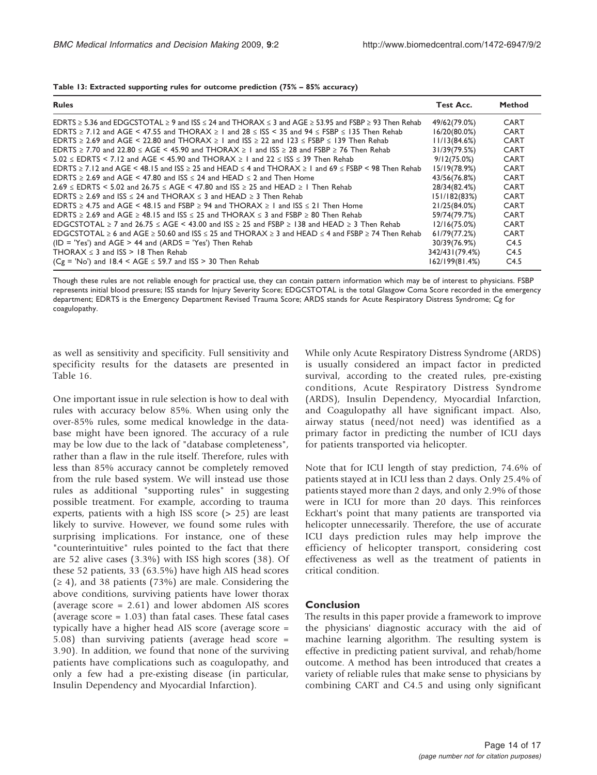| <b>Rules</b>                                                                                                                      | Test Acc.      | <b>Method</b> |
|-----------------------------------------------------------------------------------------------------------------------------------|----------------|---------------|
| EDRTS $\ge$ 5.36 and EDGCSTOTAL $\ge$ 9 and ISS $\le$ 24 and THORAX $\le$ 3 and AGE $\ge$ 53.95 and FSBP $\ge$ 93 Then Rehab      | 49/62(79.0%)   | <b>CART</b>   |
| EDRTS $\ge$ 7.12 and AGE < 47.55 and THORAX $\ge$ 1 and 28 $\le$ ISS $\le$ 35 and 94 $\le$ FSBP $\le$ 135 Then Rehab              | 16/20(80.0%)   | <b>CART</b>   |
| EDRTS $\ge$ 2.69 and AGE < 22.80 and THORAX $\ge$ 1 and ISS $\ge$ 22 and 123 $\le$ FSBP $\le$ 139 Then Rehab                      | 11/13(84.6%)   | <b>CART</b>   |
| EDRTS $\geq$ 7.70 and 22.80 $\leq$ AGE $\leq$ 45.90 and THORAX $\geq$ 1 and ISS $\geq$ 28 and FSBP $\geq$ 76 Then Rehab           | 31/39(79.5%)   | <b>CART</b>   |
| $5.02 \le$ EDRTS $\le$ 7.12 and AGE $\le$ 45.90 and THORAX $\ge$ 1 and 22 $\le$ ISS $\le$ 39 Then Rehab                           | 9/12(75.0%)    | CART          |
| EDRTS $\geq$ 7.12 and AGE < 48.15 and ISS $\geq$ 25 and HEAD $\leq$ 4 and THORAX $\geq$ 1 and 69 $\leq$ FSBP $\leq$ 98 Then Rehab | 15/19(78.9%)   | <b>CART</b>   |
| EDRTS $\geq$ 2.69 and AGE $\leq$ 47.80 and ISS $\leq$ 24 and HEAD $\leq$ 2 and Then Home                                          | 43/56(76.8%)   | <b>CART</b>   |
| $2.69 \le$ EDRTS $\le$ 5.02 and 26.75 $\le$ AGE $\le$ 47.80 and ISS $\ge$ 25 and HEAD $\ge$ 1 Then Rehab                          | 28/34(82.4%)   | CART          |
| EDRTS $\geq$ 2.69 and ISS $\leq$ 24 and THORAX $\leq$ 3 and HEAD $\geq$ 3 Then Rehab                                              | 151/182(83%)   | <b>CART</b>   |
| EDRTS $\geq 4.75$ and AGE < 48.15 and FSBP $\geq 94$ and THORAX $\geq 1$ and ISS $\leq 21$ Then Home                              | 21/25(84.0%)   | <b>CART</b>   |
| EDRTS $\geq$ 2.69 and AGE $\geq$ 48.15 and ISS $\leq$ 25 and THORAX $\leq$ 3 and FSBP $\geq$ 80 Then Rehab                        | 59/74(79.7%)   | <b>CART</b>   |
| EDGCSTOTAL $\geq 7$ and 26.75 $\leq$ AGE $\leq$ 43.00 and ISS $\geq$ 25 and FSBP $\geq$ 138 and HEAD $\geq$ 3 Then Rehab          | 12/16(75.0%)   | <b>CART</b>   |
| EDGCSTOTAL $\geq 6$ and AGE $\geq 50.60$ and ISS $\leq 25$ and THORAX $\geq 3$ and HEAD $\leq 4$ and FSBP $\geq 74$ Then Rehab    | 61/79(77.2%)   | <b>CART</b>   |
| $(ID = 'Yes']$ and $AGE > 44$ and $(ARDS = 'Yes']$ Then Rehab                                                                     | 30/39(76.9%)   | C4.5          |
| THORAX $\leq$ 3 and ISS $>$ 18 Then Rehab                                                                                         | 342/431(79.4%) | C4.5          |
| $(Cg = 'No')$ and $18.4 < AGE \le 59.7$ and $ISS > 30$ Then Rehab                                                                 | 162/199(81.4%) | C4.5          |

<span id="page-13-0"></span>Table 13: Extracted supporting rules for outcome prediction (75% – 85% accuracy)

Though these rules are not reliable enough for practical use, they can contain pattern information which may be of interest to physicians. FSBP represents initial blood pressure; ISS stands for Injury Severity Score; EDGCSTOTAL is the total Glasgow Coma Score recorded in the emergency department; EDRTS is the Emergency Department Revised Trauma Score; ARDS stands for Acute Respiratory Distress Syndrome; Cg for coagulopathy.

as well as sensitivity and specificity. Full sensitivity and specificity results for the datasets are presented in Table [16.](#page-15-0)

One important issue in rule selection is how to deal with rules with accuracy below 85%. When using only the over-85% rules, some medical knowledge in the database might have been ignored. The accuracy of a rule may be low due to the lack of "database completeness", rather than a flaw in the rule itself. Therefore, rules with less than 85% accuracy cannot be completely removed from the rule based system. We will instead use those rules as additional "supporting rules" in suggesting possible treatment. For example, according to trauma experts, patients with a high ISS score (> 25) are least likely to survive. However, we found some rules with surprising implications. For instance, one of these "counterintuitive" rules pointed to the fact that there are 52 alive cases (3.3%) with ISS high scores (38). Of these 52 patients, 33 (63.5%) have high AIS head scores  $(≥ 4)$ , and 38 patients (73%) are male. Considering the above conditions, surviving patients have lower thorax (average score = 2.61) and lower abdomen AIS scores (average score = 1.03) than fatal cases. These fatal cases typically have a higher head AIS score (average score = 5.08) than surviving patients (average head score = 3.90). In addition, we found that none of the surviving patients have complications such as coagulopathy, and only a few had a pre-existing disease (in particular, Insulin Dependency and Myocardial Infarction).

While only Acute Respiratory Distress Syndrome (ARDS) is usually considered an impact factor in predicted survival, according to the created rules, pre-existing conditions, Acute Respiratory Distress Syndrome (ARDS), Insulin Dependency, Myocardial Infarction, and Coagulopathy all have significant impact. Also, airway status (need/not need) was identified as a primary factor in predicting the number of ICU days for patients transported via helicopter.

Note that for ICU length of stay prediction, 74.6% of patients stayed at in ICU less than 2 days. Only 25.4% of patients stayed more than 2 days, and only 2.9% of those were in ICU for more than 20 days. This reinforces Eckhart's point that many patients are transported via helicopter unnecessarily. Therefore, the use of accurate ICU days prediction rules may help improve the efficiency of helicopter transport, considering cost effectiveness as well as the treatment of patients in critical condition.

#### Conclusion

The results in this paper provide a framework to improve the physicians' diagnostic accuracy with the aid of machine learning algorithm. The resulting system is effective in predicting patient survival, and rehab/home outcome. A method has been introduced that creates a variety of reliable rules that make sense to physicians by combining CART and C4.5 and using only significant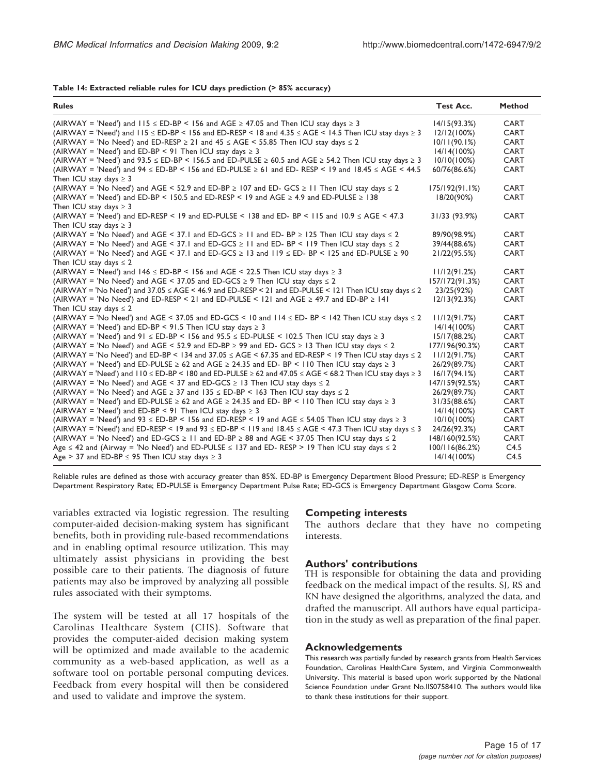<span id="page-14-0"></span>

| Table 14: Extracted reliable rules for ICU days prediction (> 85% accuracy) |  |  |
|-----------------------------------------------------------------------------|--|--|
|-----------------------------------------------------------------------------|--|--|

| <b>Rules</b>                                                                                                              | <b>Test Acc.</b> | <b>Method</b> |
|---------------------------------------------------------------------------------------------------------------------------|------------------|---------------|
| (AIRWAY = 'Need') and $115 \le E$ D-BP < 156 and AGE $\ge 47.05$ and Then ICU stay days $\ge 3$                           | 14/15(93.3%)     | CART          |
| (AIRWAY = 'Need') and $115 \le ED-BP < 156$ and $ED-RESP < 18$ and $4.35 \le AGE < 14.5$ Then ICU stay days $\ge 3$       | 12/12(100%)      | CART          |
| (AIRWAY = 'No Need') and ED-RESP $\geq$ 21 and 45 $\leq$ AGE < 55.85 Then ICU stay days $\leq$ 2                          | 10/11(90.1%)     | <b>CART</b>   |
| (AIRWAY = 'Need') and ED-BP < 91 Then ICU stay days $\geq$ 3                                                              | 14/14(100%)      | <b>CART</b>   |
| (AIRWAY = 'Need') and 93.5 $\le$ ED-BP < 156.5 and ED-PULSE $\ge$ 60.5 and AGE $\ge$ 54.2 Then ICU stay days $\ge$ 3      | 10/10(100%)      | CART          |
| (AIRWAY = 'Need') and $94 \le ED-BP < 156$ and ED-PULSE $\ge 61$ and ED-RESP < 19 and 18.45 $\le$ AGE < 44.5              | 60/76(86.6%)     | <b>CART</b>   |
| Then ICU stay days $\geq 3$                                                                                               |                  |               |
| (AIRWAY = 'No Need') and AGE < 52.9 and ED-BP $\ge$ 107 and ED-GCS $\ge$ 11 Then ICU stay days $\le$ 2                    | 175/192(91.1%)   | <b>CART</b>   |
| (AIRWAY = 'Need') and ED-BP < 150.5 and ED-RESP < 19 and AGE $\geq$ 4.9 and ED-PULSE $\geq$ 138                           | 18/20(90%)       | CART          |
| Then ICU stay days $\geq 3$                                                                                               |                  |               |
| (AIRWAY = 'Need') and ED-RESP < 19 and ED-PULSE < 138 and ED-BP < 115 and 10.9 $\leq$ AGE < 47.3                          | 31/33 (93.9%)    | <b>CART</b>   |
| Then ICU stay days $\geq 3$                                                                                               |                  |               |
| (AIRWAY = 'No Need') and AGE < 37.1 and ED-GCS $\ge$ 11 and ED-BP $\ge$ 125 Then ICU stay days $\le$ 2                    | 89/90(98.9%)     | <b>CART</b>   |
| (AIRWAY = 'No Need') and AGE < 37.1 and ED-GCS $\ge$ 11 and ED-BP < 119 Then ICU stay days $\le$ 2                        | 39/44(88.6%)     | <b>CART</b>   |
| (AIRWAY = 'No Need') and AGE < 37.1 and ED-GCS $\ge$ 13 and 119 $\le$ ED- BP < 125 and ED-PULSE $\ge$ 90                  | 21/22(95.5%)     | <b>CART</b>   |
| Then ICU stay days $\leq 2$                                                                                               |                  |               |
| (AIRWAY = 'Need') and $146 \le ED-BP < 156$ and AGE < 22.5 Then ICU stay days $\ge 3$                                     | 11/12(91.2%)     | <b>CART</b>   |
| (AIRWAY = 'No Need') and AGE < 37.05 and ED-GCS $\geq$ 9 Then ICU stay days $\leq$ 2                                      | 157/172(91.3%)   | <b>CART</b>   |
| $(AIRWAY = 'No Need')$ and $37.05 \le AGE \le 46.9$ and ED-RESP < 21 and ED-PULSE < 121 Then ICU stay days $\le 2$        | 23/25(92%)       | <b>CART</b>   |
| (AIRWAY = 'No Need') and ED-RESP < 21 and ED-PULSE < 121 and AGE $\geq$ 49.7 and ED-BP $\geq$ 141                         | 12/13(92.3%)     | <b>CART</b>   |
| Then ICU stay days $\leq 2$                                                                                               |                  |               |
| (AIRWAY = 'No Need') and AGE < 37.05 and ED-GCS < 10 and $114 \le ED - BP$ < 142 Then ICU stay days $\le 2$               | 11/12(91.7%)     | <b>CART</b>   |
| (AIRWAY = 'Need') and ED-BP < 91.5 Then ICU stay days $\geq$ 3                                                            | 14/14(100%)      | CART          |
| (AIRWAY = 'Need') and $91 \le ED-BP < 156$ and $95.5 \le ED-PULES < 102.5$ Then ICU stay days $\ge 3$                     | 15/17(88.2%)     | CART          |
| (AIRWAY = 'No Need') and AGE < 52.9 and ED-BP $\ge$ 99 and ED-GCS $\ge$ 13 Then ICU stay days $\le$ 2                     | 177/196(90.3%)   | <b>CART</b>   |
| (AIRWAY = 'No Need') and ED-BP < 134 and 37.05 $\leq$ AGE < 67.35 and ED-RESP < 19 Then ICU stay days $\leq$ 2            | 11/12(91.7%)     | <b>CART</b>   |
| $(AIRWAY = 'Need')$ and ED-PULSE $\geq 62$ and AGE $\geq 24.35$ and ED-BP < 110 Then ICU stay days $\geq 3$               | 26/29(89.7%)     | <b>CART</b>   |
| $(AIRWAY = 'Need')$ and $IIO \le ED-BP < I80$ and $ED-PULSE \ge 62$ and $47.05 \le AGE < 68.2$ Then ICU stay days $\ge 3$ | 16/17(94.1%)     | <b>CART</b>   |
| (AIRWAY = 'No Need') and AGE < 37 and ED-GCS $\ge$ 13 Then ICU stay days $\le$ 2                                          | 147/159(92.5%)   | <b>CART</b>   |
| (AIRWAY = 'No Need') and AGE $\geq$ 37 and 135 $\leq$ ED-BP < 163 Then ICU stay days $\leq$ 2                             | 26/29(89.7%)     | <b>CART</b>   |
| (AIRWAY = 'Need') and ED-PULSE $\geq 62$ and AGE $\geq 24.35$ and ED- BP < 110 Then ICU stay days $\geq 3$                | 31/35(88.6%)     | <b>CART</b>   |
| (AIRWAY = 'Need') and ED-BP < 91 Then ICU stay days $\geq$ 3                                                              | 14/14(100%)      | CART          |
| (AIRWAY = 'Need') and 93 $\le$ ED-BP < 156 and ED-RESP < 19 and AGE $\le$ 54.05 Then ICU stay days $\ge$ 3                | 10/10(100%)      | <b>CART</b>   |
| $(AIRWAY = 'Need')$ and ED-RESP < 19 and 93 $\le$ ED-BP < 119 and 18.45 $\le$ AGE < 47.3 Then ICU stay days $\le$ 3       | 24/26(92.3%)     | <b>CART</b>   |
| (AIRWAY = 'No Need') and ED-GCS $\geq$ 11 and ED-BP $\geq$ 88 and AGE < 37.05 Then ICU stay days $\leq$ 2                 | 148/160(92.5%)   | <b>CART</b>   |
| Age $\leq$ 42 and (Airway = 'No Need') and ED-PULSE $\leq$ 137 and ED-RESP > 19 Then ICU stay days $\leq$ 2               | 100/116(86.2%)   | C4.5          |
| Age > 37 and ED-BP $\leq$ 95 Then ICU stay days $\geq$ 3                                                                  | 14/14(100%)      | C4.5          |

Reliable rules are defined as those with accuracy greater than 85%. ED-BP is Emergency Department Blood Pressure; ED-RESP is Emergency Department Respiratory Rate; ED-PULSE is Emergency Department Pulse Rate; ED-GCS is Emergency Department Glasgow Coma Score.

variables extracted via logistic regression. The resulting computer-aided decision-making system has significant benefits, both in providing rule-based recommendations and in enabling optimal resource utilization. This may ultimately assist physicians in providing the best possible care to their patients. The diagnosis of future patients may also be improved by analyzing all possible rules associated with their symptoms.

The system will be tested at all 17 hospitals of the Carolinas Healthcare System (CHS). Software that provides the computer-aided decision making system will be optimized and made available to the academic community as a web-based application, as well as a software tool on portable personal computing devices. Feedback from every hospital will then be considered and used to validate and improve the system.

#### Competing interests

The authors declare that they have no competing interests.

#### Authors' contributions

TH is responsible for obtaining the data and providing feedback on the medical impact of the results. SJ, RS and KN have designed the algorithms, analyzed the data, and drafted the manuscript. All authors have equal participation in the study as well as preparation of the final paper.

#### Acknowledgements

This research was partially funded by research grants from Health Services Foundation, Carolinas HealthCare System, and Virginia Commonwealth University. This material is based upon work supported by the National Science Foundation under Grant No.IIS0758410. The authors would like to thank these institutions for their support.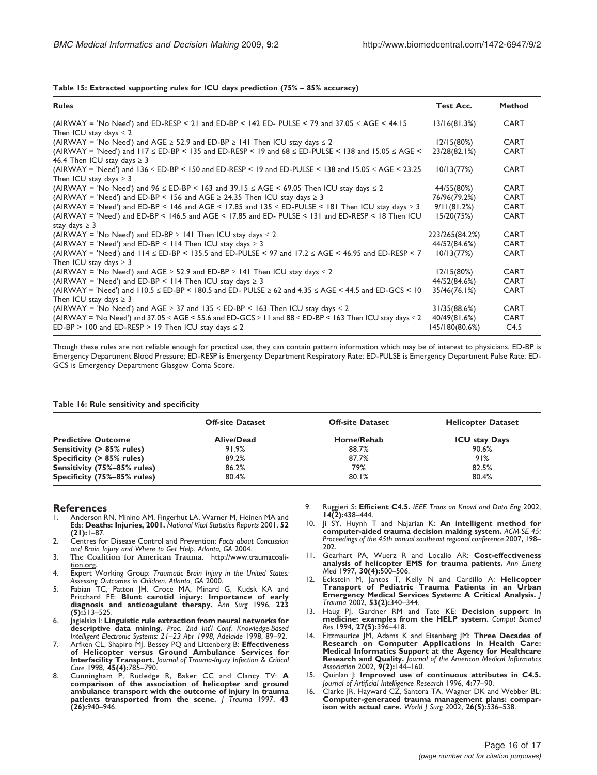<span id="page-15-0"></span>

|  | Table 15: Extracted supporting rules for ICU days prediction (75% – 85% accuracy) |  |  |  |  |  |  |
|--|-----------------------------------------------------------------------------------|--|--|--|--|--|--|
|--|-----------------------------------------------------------------------------------|--|--|--|--|--|--|

| <b>Rules</b>                                                                                                                                         | Test Acc.      | <b>Method</b> |
|------------------------------------------------------------------------------------------------------------------------------------------------------|----------------|---------------|
| (AIRWAY = 'No Need') and ED-RESP < 21 and ED-BP < 142 ED- PULSE < 79 and 37.05 $\leq$ AGE < 44.15<br>Then ICU stay days $\leq 2$                     | 13/16(81.3%)   | <b>CART</b>   |
| (AIRWAY = 'No Need') and AGE $\geq$ 52.9 and ED-BP $\geq$ 141 Then ICU stay days $\leq$ 2                                                            | 12/15(80%)     | <b>CART</b>   |
| (AIRWAY = 'Need') and $117 \le E$ D-BP < 135 and ED-RESP < 19 and 68 $\le E$ D-PULSE < 138 and 15.05 $\le$ AGE <<br>46.4 Then ICU stay days $\geq 3$ | 23/28(82.1%)   | <b>CART</b>   |
| (AIRWAY = 'Need') and $136 \le ED-BP < 150$ and ED-RESP < 19 and ED-PULSE < 138 and $15.05 \le AGE < 23.25$<br>Then ICU stay days $\geq$ 3           | 10/13(77%)     | <b>CART</b>   |
| (AIRWAY = 'No Need') and $96 \le ED-BP < 163$ and $39.15 \le AGE < 69.05$ Then ICU stay days $\le 2$                                                 | 44/55(80%)     | CART          |
| (AIRWAY = 'Need') and ED-BP < 156 and AGE $\geq$ 24.35 Then ICU stay days $\geq$ 3                                                                   | 76/96(79.2%)   | <b>CART</b>   |
| (AIRWAY = 'Need') and ED-BP < 146 and AGE < 17.85 and 135 $\leq$ ED-PULSE < 181 Then ICU stay days $\geq$ 3                                          | 9/11(81.2%)    | <b>CART</b>   |
| (AIRWAY = 'Need') and ED-BP < 146.5 and AGE < 17.85 and ED-PULSE < 131 and ED-RESP < 18 Then ICU                                                     | 15/20(75%)     | <b>CART</b>   |
| stay days $\geq$ 3<br>(AIRWAY = 'No Need') and ED-BP $\ge$ 141 Then ICU stay days $\le$ 2                                                            | 223/265(84.2%) | <b>CART</b>   |
| (AIRWAY = 'Need') and ED-BP < 114 Then ICU stay days $\geq$ 3                                                                                        | 44/52(84.6%)   | <b>CART</b>   |
| (AIRWAY = 'Need') and $114 \le ED-BP < 135.5$ and ED-PULSE < 97 and $17.2 \le AGE < 46.95$ and ED-RESP < 7<br>Then ICU stay days $\geq 3$            | 10/13(77%)     | <b>CART</b>   |
| (AIRWAY = 'No Need') and AGE $\geq$ 52.9 and ED-BP $\geq$ 141 Then ICU stay days $\leq$ 2                                                            | 12/15(80%)     | CART          |
| (AIRWAY = 'Need') and ED-BP < 114 Then ICU stay days $\geq$ 3                                                                                        | 44/52(84.6%)   | <b>CART</b>   |
| (AIRWAY = 'Need') and $110.5 \le E$ D-BP < 180.5 and ED- PULSE $\ge 62$ and $4.35 \le AGE$ < 44.5 and ED-GCS < 10<br>Then ICU stay days $\geq 3$     | 35/46(76.1%)   | <b>CART</b>   |
| (AIRWAY = 'No Need') and AGE $\geq$ 37 and 135 $\leq$ ED-BP < 163 Then ICU stay days $\leq$ 2                                                        | 31/35(88.6%)   | CART          |
| $(AIRWAY = 'No Need')$ and $37.05 \le AGE \le 55.6$ and $ED-GCS \ge 11$ and $88 \le ED-BP \le 163$ Then ICU stay days $\le 2$                        | 40/49(81.6%)   | <b>CART</b>   |
| ED-BP > 100 and ED-RESP > 19 Then ICU stay days $\leq 2$                                                                                             | 145/180(80.6%) | C4.5          |

Though these rules are not reliable enough for practical use, they can contain pattern information which may be of interest to physicians. ED-BP is Emergency Department Blood Pressure; ED-RESP is Emergency Department Respiratory Rate; ED-PULSE is Emergency Department Pulse Rate; ED-GCS is Emergency Department Glasgow Coma Score.

#### Table 16: Rule sensitivity and specificity

|                             | <b>Off-site Dataset</b> | <b>Off-site Dataset</b> | <b>Helicopter Dataset</b> |
|-----------------------------|-------------------------|-------------------------|---------------------------|
| <b>Predictive Outcome</b>   | Alive/Dead              | Home/Rehab              | <b>ICU stay Days</b>      |
| Sensitivity (> 85% rules)   | 91.9%                   | 88.7%                   | 90.6%                     |
| Specificity (> 85% rules)   | 89.2%                   | 87.7%                   | 91%                       |
| Sensitivity (75%-85% rules) | 86.2%                   | 79%                     | 82.5%                     |
| Specificity (75%-85% rules) | 80.4%                   | 80.1%                   | 80.4%                     |

#### References

- 1. Anderson RN, Minino AM, Fingerhut LA, Warner M, Heinen MA and Eds: Deaths: Injuries, 2001. National Vital Statistics Reports 2001, 52 (21):1–87.
- 2. Centres for Disease Control and Prevention: Facts about Concussion and Brain Injury and Where to Get Help. Atlanta, GA 2004.
- 3. The Coalition for American Trauma. [http://www.traumacoali](http://www.traumacoalition.org)[tion.org.](http://www.traumacoalition.org)
- Expert Working Group: Traumatic Brain Injury in the United States: Assessing Outcomes in Children. Atlanta, GA 2000.
- 5. Fabian TC, Patton JH, Croce MA, Minard G, Kudsk KA and Pritchard FE: [Blunt carotid injury: Importance of early](http://www.ncbi.nlm.nih.gov/pubmed/8651742?dopt=Abstract) [diagnosis and anticoagulant therapy.](http://www.ncbi.nlm.nih.gov/pubmed/8651742?dopt=Abstract) Ann Surg 1996, 223  $(5):513-525.$
- 6. Jagielska I: Linguistic rule extraction from neural networks for descriptive data mining. Proc. 2nd Int'l Conf. Knowledge-Based Intelligent Electronic Systems: 21–23 Apr 1998, Adelaide 1998, 89–92.
- Arfken CL, Shapiro MJ, Bessey PQ and Littenberg B: [Effectiveness](http://www.ncbi.nlm.nih.gov/pubmed/9783622?dopt=Abstract) [of Helicopter versus Ground Ambulance Services for](http://www.ncbi.nlm.nih.gov/pubmed/9783622?dopt=Abstract) **[Interfacility Transport.](http://www.ncbi.nlm.nih.gov/pubmed/9783622?dopt=Abstract)** Journal of Trauma-Injury Infection & Critical<br>Care 1998, **45(4):**785–790.
- 8. Cunningham P, Rutledge R, Baker CC and Clancy TV: [A](http://www.ncbi.nlm.nih.gov/pubmed/9420109?dopt=Abstract) [comparison of the association of helicopter and ground](http://www.ncbi.nlm.nih.gov/pubmed/9420109?dopt=Abstract) [ambulance transport with the outcome of injury in trauma](http://www.ncbi.nlm.nih.gov/pubmed/9420109?dopt=Abstract) [patients transported from the scene.](http://www.ncbi.nlm.nih.gov/pubmed/9420109?dopt=Abstract) J Trauma 1997, 43 (26):940–946.
- 9. Ruggieri S: Efficient C4.5. IEEE Trans on Knowl and Data Eng 2002, 14(2):438–444.
- 10. Ji SY, Huynh T and Najarian K: An intelligent method for computer-aided trauma decision making system. ACM-SE 45: Proceedings of the 45th annual southeast regional conference 2007, 198–<br>202.
- 11. Gearhart PA, Wuerz R and Localio AR: [Cost-effectiveness](http://www.ncbi.nlm.nih.gov/pubmed/9326865?dopt=Abstract) [analysis of helicopter EMS for trauma patients.](http://www.ncbi.nlm.nih.gov/pubmed/9326865?dopt=Abstract) Ann Emerg Med 1997, 30(4):500-506.
- 12. Eckstein M, Jantos T, Kelly N and Cardillo A: [Helicopter](http://www.ncbi.nlm.nih.gov/pubmed/12169944?dopt=Abstract) [Transport of Pediatric Trauma Patients in an Urban](http://www.ncbi.nlm.nih.gov/pubmed/12169944?dopt=Abstract) [Emergency Medical Services System: A Critical Analysis.](http://www.ncbi.nlm.nih.gov/pubmed/12169944?dopt=Abstract) J Trauma 2002, 53(2):340–344.
- 13. Haug PJ, Gardner RM and Tate KE: [Decision support in](http://www.ncbi.nlm.nih.gov/pubmed/7813202?dopt=Abstract)<br>[medicine: examples from the HELP system.](http://www.ncbi.nlm.nih.gov/pubmed/7813202?dopt=Abstract) Comput Biomed Res 1994, 27(5):396–418.
- 14. Fitzmaurice JM, Adams K and Eisenberg JM: [Three Decades of](http://www.ncbi.nlm.nih.gov/pubmed/11861630?dopt=Abstract) [Research on Computer Applications in Health Care:](http://www.ncbi.nlm.nih.gov/pubmed/11861630?dopt=Abstract) [Medical Informatics Support at the Agency for Healthcare](http://www.ncbi.nlm.nih.gov/pubmed/11861630?dopt=Abstract) [Research and Quality.](http://www.ncbi.nlm.nih.gov/pubmed/11861630?dopt=Abstract) Journal of the American Medical Informatics Association 2002,  $9(2)$ : 144-160.
- 15. Quinlan J: Improved use of continuous attributes in C4.5. Journal of Artificial Intelligence Research 1996, 4:77–90.
- 16. Clarke JR, Hayward CZ, Santora TA, Wagner DK and Webber BL: [Computer-generated trauma management plans: compar-](http://www.ncbi.nlm.nih.gov/pubmed/12098040?dopt=Abstract)[ison with actual care.](http://www.ncbi.nlm.nih.gov/pubmed/12098040?dopt=Abstract) World J Surg 2002, 26(5):536–538.